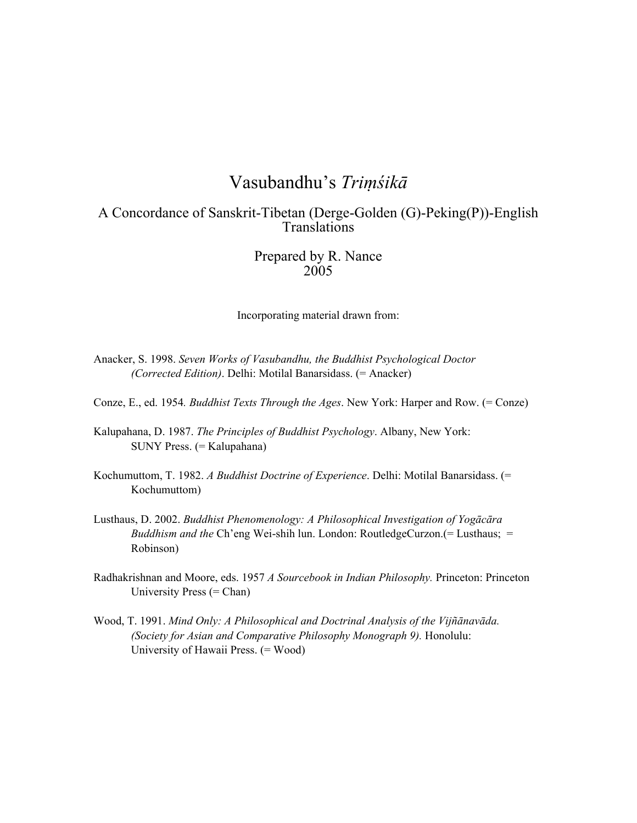# Vasubandhu's *Triṃśikā*

# A Concordance of Sanskrit-Tibetan (Derge-Golden (G)-Peking(P))-English Translations

# Prepared by R. Nance 2005

Incorporating material drawn from:

- Anacker, S. 1998. *Seven Works of Vasubandhu, the Buddhist Psychological Doctor (Corrected Edition)*. Delhi: Motilal Banarsidass. (= Anacker)
- Conze, E., ed. 1954*. Buddhist Texts Through the Ages*. New York: Harper and Row. (= Conze)
- Kalupahana, D. 1987. *The Principles of Buddhist Psychology*. Albany, New York: SUNY Press. (= Kalupahana)
- Kochumuttom, T. 1982. *A Buddhist Doctrine of Experience*. Delhi: Motilal Banarsidass. (= Kochumuttom)
- Lusthaus, D. 2002. *Buddhist Phenomenology: A Philosophical Investigation of Yogācāra Buddhism and the* Ch'eng Wei-shih lun. London: RoutledgeCurzon.(= Lusthaus; = Robinson)
- Radhakrishnan and Moore, eds. 1957 *A Sourcebook in Indian Philosophy.* Princeton: Princeton University Press (= Chan)
- Wood, T. 1991. *Mind Only: A Philosophical and Doctrinal Analysis of the Vijñānavāda. (Society for Asian and Comparative Philosophy Monograph 9).* Honolulu: University of Hawaii Press. (= Wood)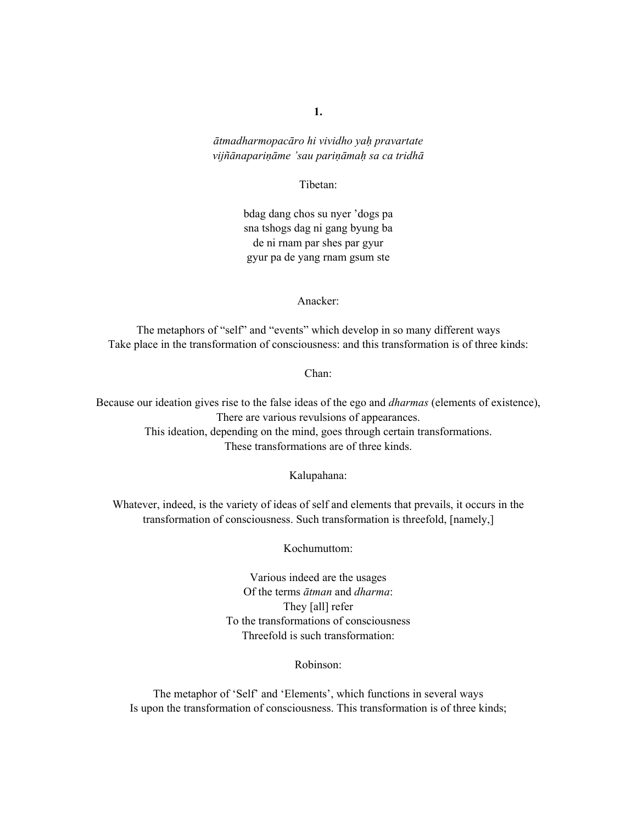*ātmadharmopacāro hi vividho yaḥ pravartate vijñānapariṇāme 'sau pariṇāmaḥ sa ca tridhā*

#### Tibetan:

bdag dang chos su nyer 'dogs pa sna tshogs dag ni gang byung ba de ni rnam par shes par gyur gyur pa de yang rnam gsum ste

Anacker:

The metaphors of "self" and "events" which develop in so many different ways Take place in the transformation of consciousness: and this transformation is of three kinds:

Chan:

Because our ideation gives rise to the false ideas of the ego and *dharmas* (elements of existence), There are various revulsions of appearances. This ideation, depending on the mind, goes through certain transformations. These transformations are of three kinds.

Kalupahana:

Whatever, indeed, is the variety of ideas of self and elements that prevails, it occurs in the transformation of consciousness. Such transformation is threefold, [namely,]

Kochumuttom:

Various indeed are the usages Of the terms *ātman* and *dharma*: They [all] refer To the transformations of consciousness Threefold is such transformation:

Robinson:

The metaphor of 'Self' and 'Elements', which functions in several ways Is upon the transformation of consciousness. This transformation is of three kinds;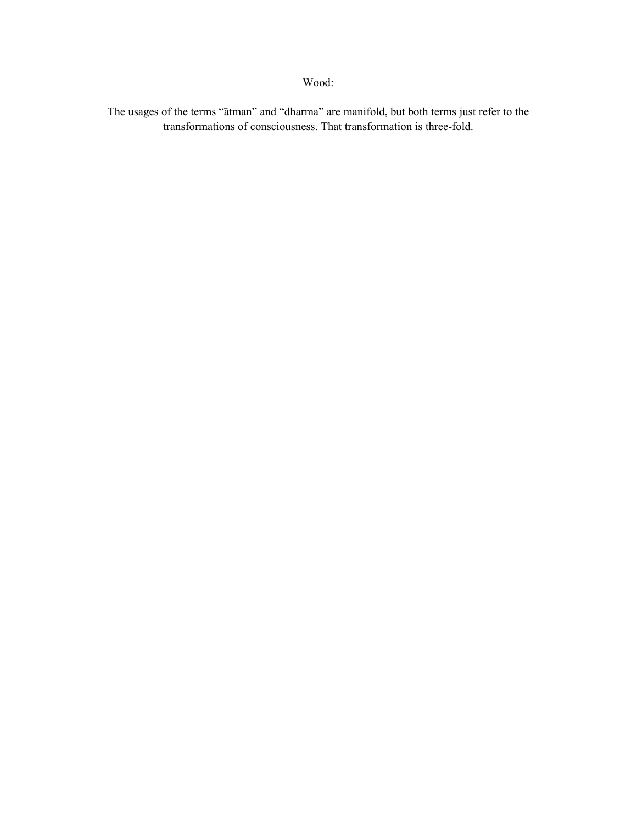The usages of the terms "ātman" and "dharma" are manifold, but both terms just refer to the transformations of consciousness. That transformation is three-fold.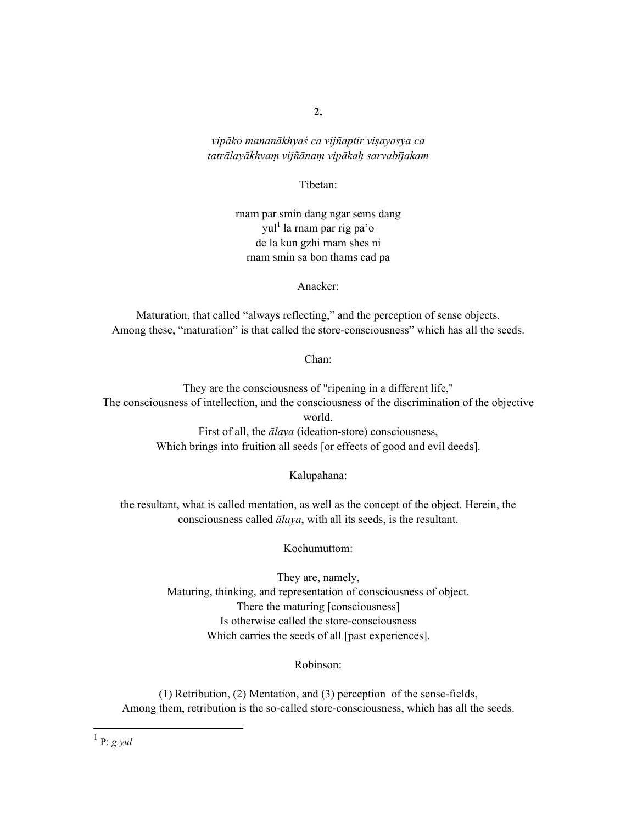*vipāko mananākhyaś ca vijñaptir viṣayasya ca tatrālayākhyaṃ vijñānaṃ vipākaḥ sarvabījakam* 

Tibetan:

rnam par smin dang ngar sems dang yul<sup>1</sup> la rnam par rig pa'o de la kun gzhi rnam shes ni rnam smin sa bon thams cad pa

Anacker:

Maturation, that called "always reflecting," and the perception of sense objects. Among these, "maturation" is that called the store-consciousness" which has all the seeds.

Chan:

They are the consciousness of "ripening in a different life," The consciousness of intellection, and the consciousness of the discrimination of the objective world. First of all, the *ālaya* (ideation-store) consciousness, Which brings into fruition all seeds [or effects of good and evil deeds].

Kalupahana:

the resultant, what is called mentation, as well as the concept of the object. Herein, the consciousness called *ālaya*, with all its seeds, is the resultant.

Kochumuttom:

They are, namely, Maturing, thinking, and representation of consciousness of object. There the maturing [consciousness] Is otherwise called the store-consciousness Which carries the seeds of all [past experiences].

Robinson:

(1) Retribution, (2) Mentation, and (3) perception of the sense-fields, Among them, retribution is the so-called store-consciousness, which has all the seeds.

 1 P: *g.yul*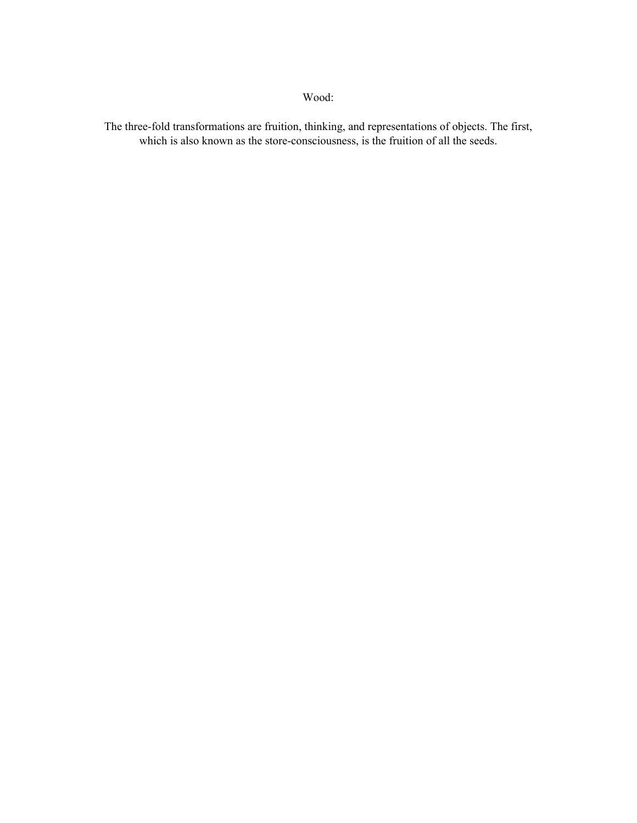The three-fold transformations are fruition, thinking, and representations of objects. The first, which is also known as the store-consciousness, is the fruition of all the seeds.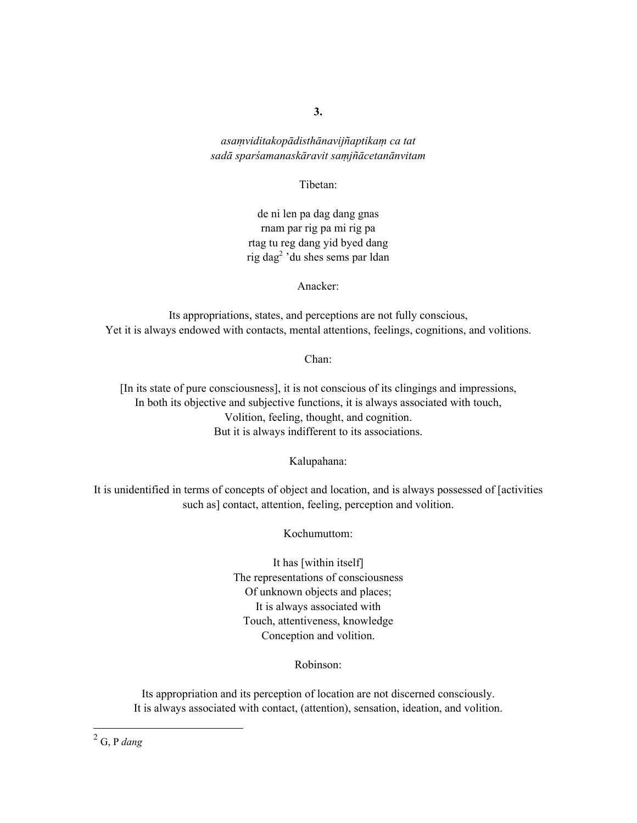*asaṃviditakopādisthānavijñaptikaṃ ca tat sadā sparśamanaskāravit saṃjñācetanānvitam* 

Tibetan:

de ni len pa dag dang gnas rnam par rig pa mi rig pa rtag tu reg dang yid byed dang rig dag<sup>2</sup> 'du shes sems par ldan

Anacker:

Its appropriations, states, and perceptions are not fully conscious, Yet it is always endowed with contacts, mental attentions, feelings, cognitions, and volitions.

Chan:

[In its state of pure consciousness], it is not conscious of its clingings and impressions, In both its objective and subjective functions, it is always associated with touch, Volition, feeling, thought, and cognition. But it is always indifferent to its associations.

Kalupahana:

It is unidentified in terms of concepts of object and location, and is always possessed of [activities such as] contact, attention, feeling, perception and volition.

Kochumuttom:

It has [within itself] The representations of consciousness Of unknown objects and places; It is always associated with Touch, attentiveness, knowledge Conception and volition.

Robinson:

Its appropriation and its perception of location are not discerned consciously. It is always associated with contact, (attention), sensation, ideation, and volition.

2 G, P *dang*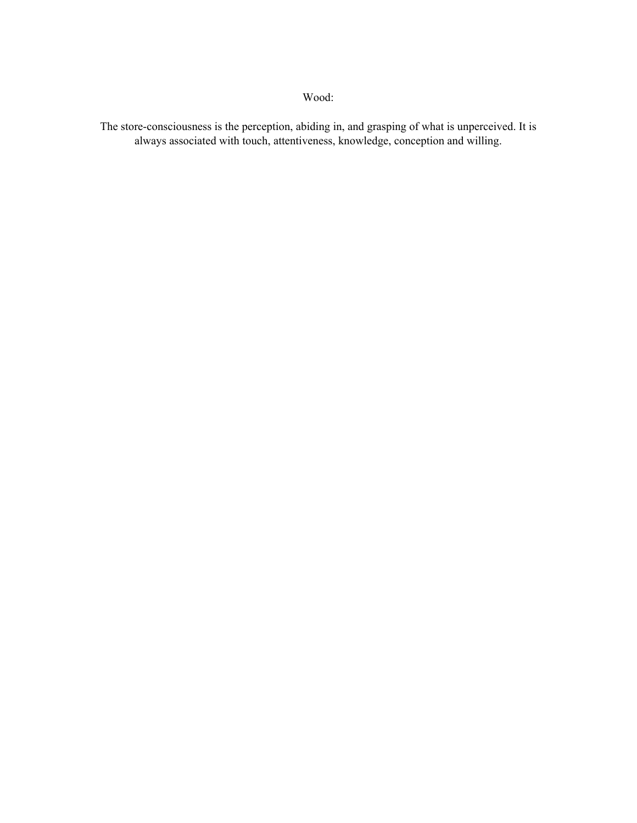The store-consciousness is the perception, abiding in, and grasping of what is unperceived. It is always associated with touch, attentiveness, knowledge, conception and willing.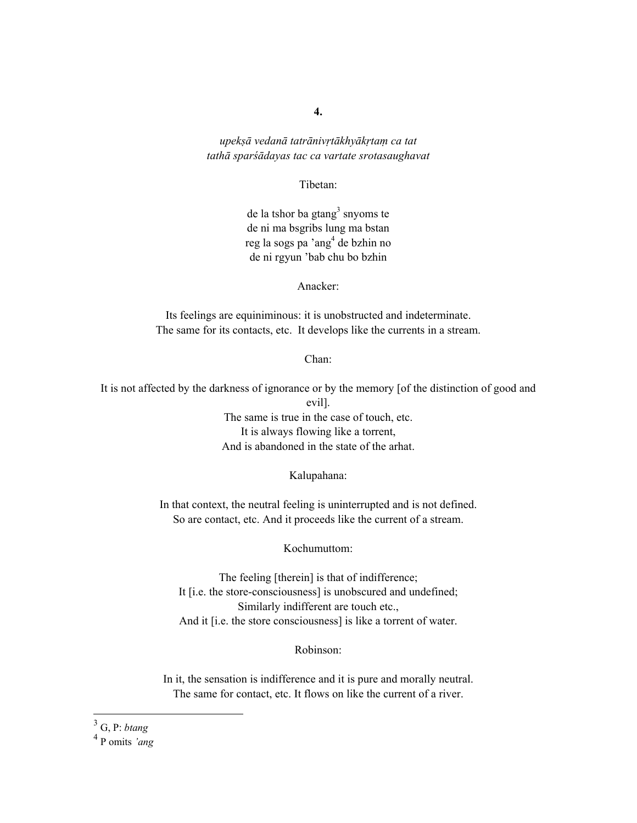*upekṣā vedanā tatrānivṛtākhyākṛtaṃ ca tat tathā sparśādayas tac ca vartate srotasaughavat* 

#### Tibetan:

de la tshor ba gtang<sup>3</sup> snyoms te de ni ma bsgribs lung ma bstan reg la sogs pa 'ang<sup>4</sup> de bzhin no de ni rgyun 'bab chu bo bzhin

Anacker:

Its feelings are equiniminous: it is unobstructed and indeterminate. The same for its contacts, etc. It develops like the currents in a stream.

Chan:

It is not affected by the darkness of ignorance or by the memory [of the distinction of good and evil]. The same is true in the case of touch, etc. It is always flowing like a torrent, And is abandoned in the state of the arhat.

Kalupahana:

In that context, the neutral feeling is uninterrupted and is not defined. So are contact, etc. And it proceeds like the current of a stream.

Kochumuttom:

The feeling [therein] is that of indifference; It [i.e. the store-consciousness] is unobscured and undefined; Similarly indifferent are touch etc., And it [i.e. the store consciousness] is like a torrent of water.

#### Robinson:

In it, the sensation is indifference and it is pure and morally neutral. The same for contact, etc. It flows on like the current of a river.

4 P omits *'ang*

 3 G, P: *btang*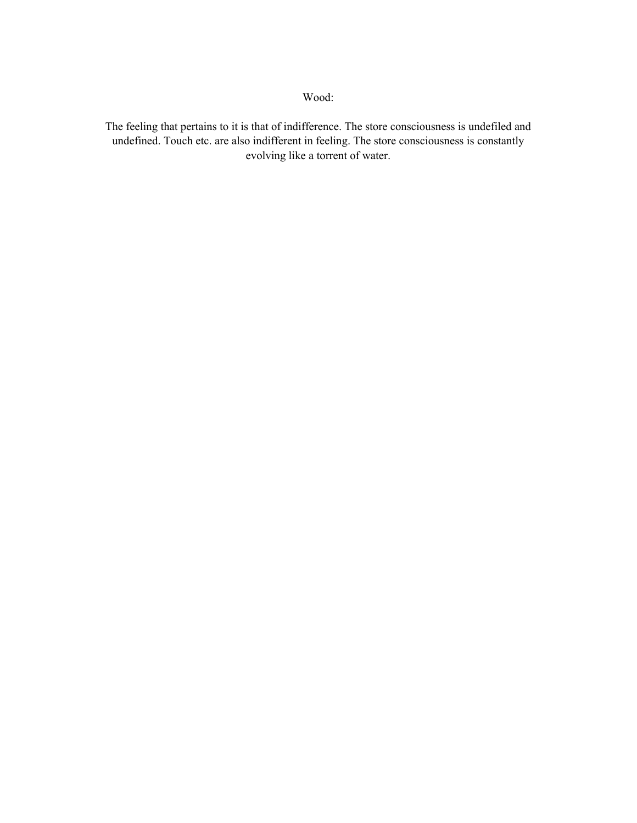The feeling that pertains to it is that of indifference. The store consciousness is undefiled and undefined. Touch etc. are also indifferent in feeling. The store consciousness is constantly evolving like a torrent of water.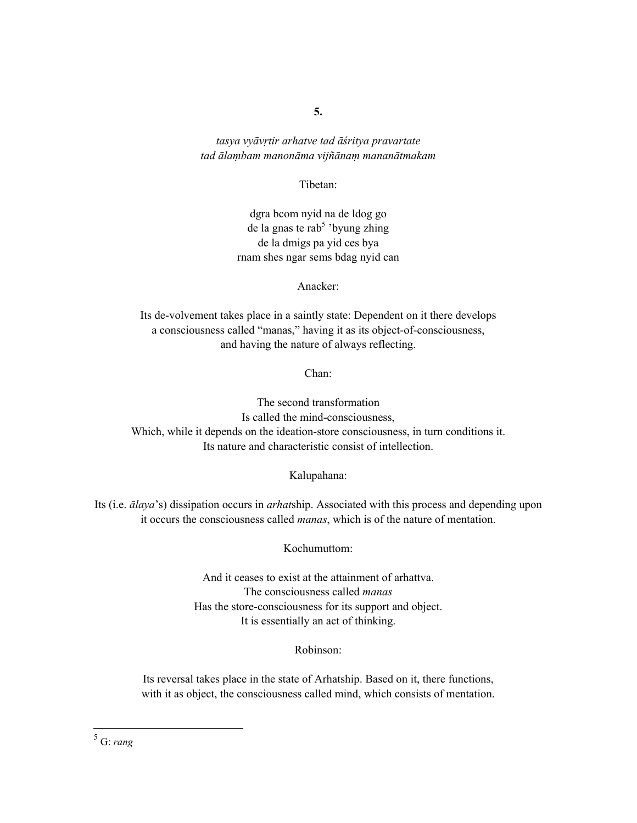*tasya vyāvṛtir arhatve tad āśritya pravartate tad ālaṃbam manonāma vijñānaṃ mananātmakam* 

Tibetan:

dgra bcom nyid na de ldog go de la gnas te rab<sup>5</sup> 'byung zhing de la dmigs pa yid ces bya rnam shes ngar sems bdag nyid can

Anacker:

Its de-volvement takes place in a saintly state: Dependent on it there develops a consciousness called "manas," having it as its object-of-consciousness, and having the nature of always reflecting.

Chan:

The second transformation Is called the mind-consciousness, Which, while it depends on the ideation-store consciousness, in turn conditions it. Its nature and characteristic consist of intellection.

Kalupahana:

Its (i.e. *ālaya*'s) dissipation occurs in *arhat*ship. Associated with this process and depending upon it occurs the consciousness called *manas*, which is of the nature of mentation.

Kochumuttom:

And it ceases to exist at the attainment of arhattva. The consciousness called *manas*  Has the store-consciousness for its support and object. It is essentially an act of thinking.

Robinson:

Its reversal takes place in the state of Arhatship. Based on it, there functions, with it as object, the consciousness called mind, which consists of mentation.

5 G: *rang*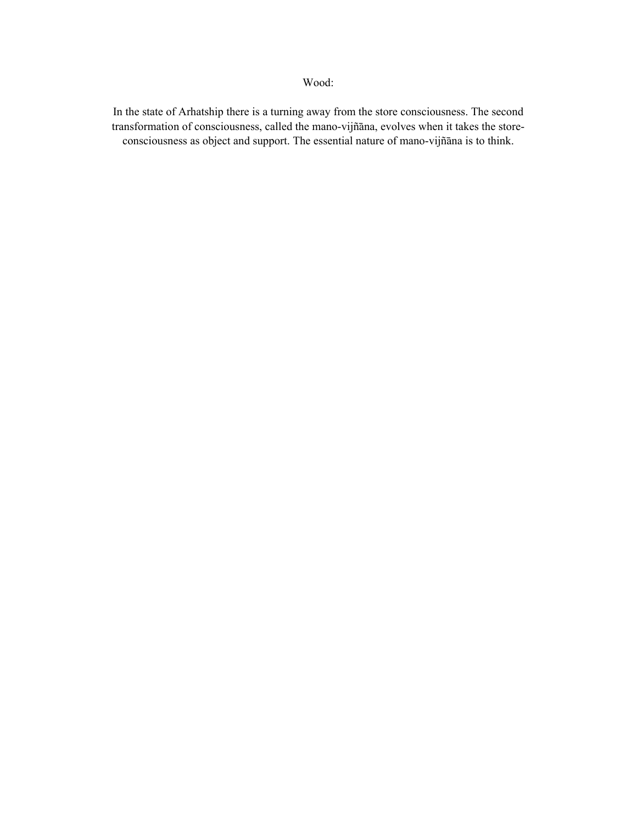In the state of Arhatship there is a turning away from the store consciousness. The second transformation of consciousness, called the mano-vijñāna, evolves when it takes the storeconsciousness as object and support. The essential nature of mano-vijñāna is to think.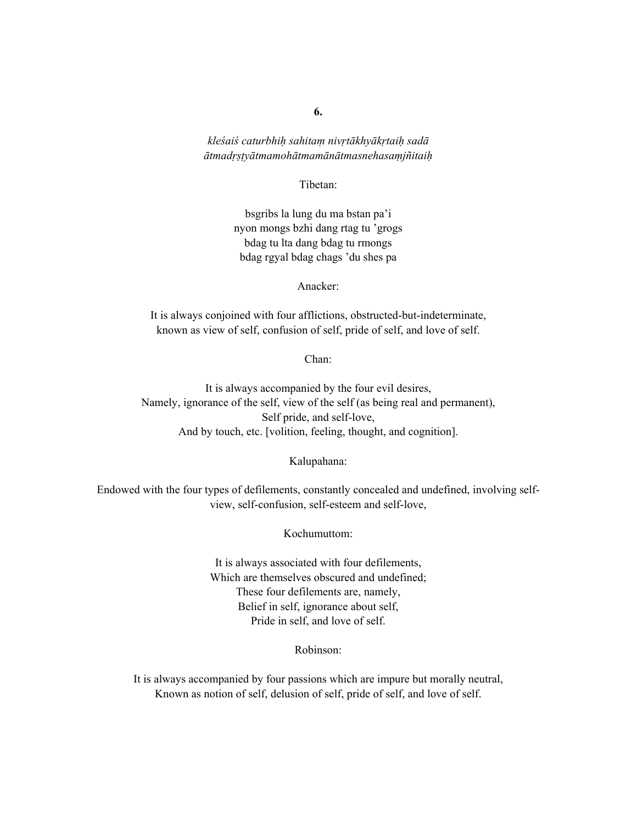#### *kleśaiś caturbhiḥ sahitaṃ nivṛtākhyākṛtaiḥ sadā ātmadṛṣṭyātmamohātmamānātmasnehasaṃjñitaiḥ*

#### Tibetan:

bsgribs la lung du ma bstan pa'i nyon mongs bzhi dang rtag tu 'grogs bdag tu lta dang bdag tu rmongs bdag rgyal bdag chags 'du shes pa

Anacker:

It is always conjoined with four afflictions, obstructed-but-indeterminate, known as view of self, confusion of self, pride of self, and love of self.

Chan:

It is always accompanied by the four evil desires, Namely, ignorance of the self, view of the self (as being real and permanent), Self pride, and self-love, And by touch, etc. [volition, feeling, thought, and cognition].

#### Kalupahana:

Endowed with the four types of defilements, constantly concealed and undefined, involving selfview, self-confusion, self-esteem and self-love,

#### Kochumuttom:

It is always associated with four defilements, Which are themselves obscured and undefined; These four defilements are, namely, Belief in self, ignorance about self, Pride in self, and love of self.

Robinson:

It is always accompanied by four passions which are impure but morally neutral, Known as notion of self, delusion of self, pride of self, and love of self.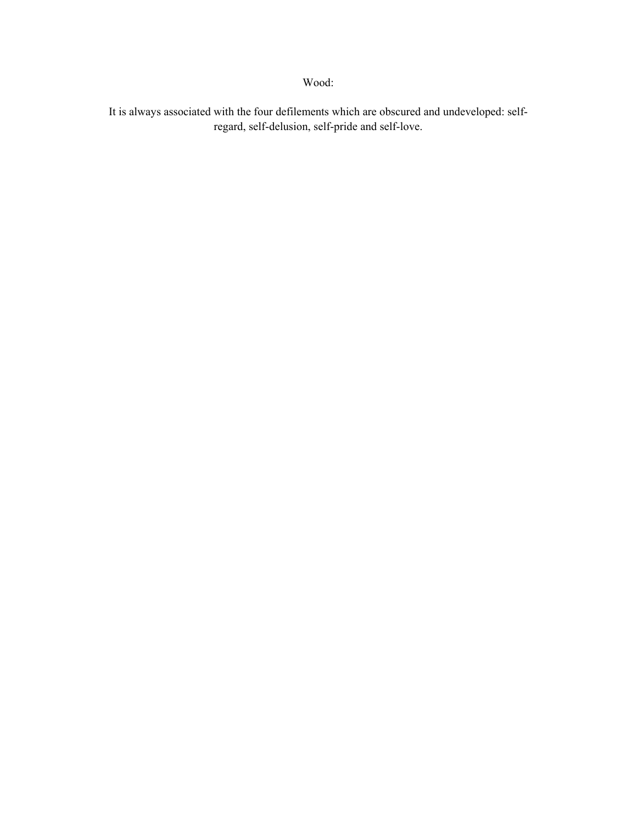It is always associated with the four defilements which are obscured and undeveloped: selfregard, self-delusion, self-pride and self-love.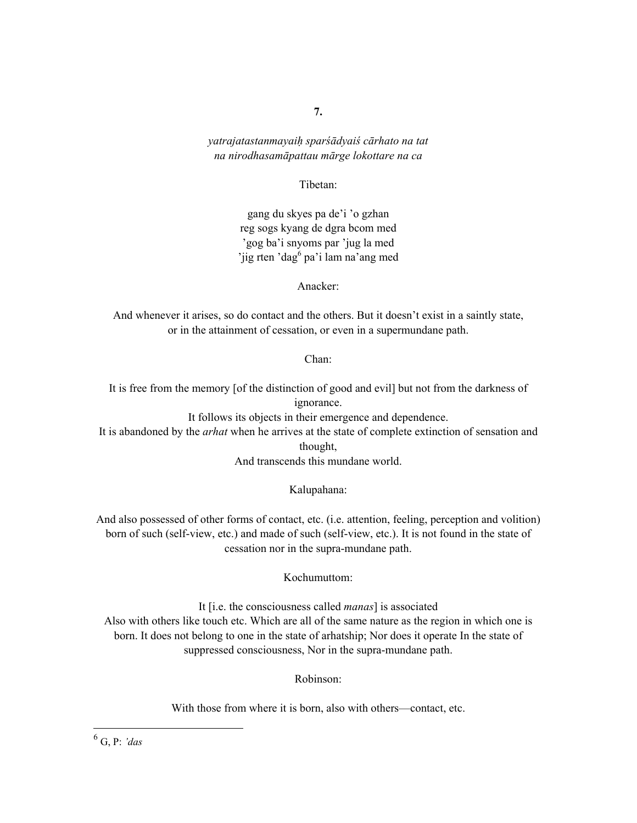#### *yatrajatastanmayaiḥ sparśādyaiś cārhato na tat na nirodhasamāpattau mārge lokottare na ca*

#### Tibetan:

gang du skyes pa de'i 'o gzhan reg sogs kyang de dgra bcom med 'gog ba'i snyoms par 'jug la med 'jig rten 'dag<sup>6</sup> pa'i lam na'ang med

Anacker:

And whenever it arises, so do contact and the others. But it doesn't exist in a saintly state, or in the attainment of cessation, or even in a supermundane path.

Chan:

It is free from the memory [of the distinction of good and evil] but not from the darkness of ignorance.

It follows its objects in their emergence and dependence.

It is abandoned by the *arhat* when he arrives at the state of complete extinction of sensation and thought,

And transcends this mundane world.

Kalupahana:

And also possessed of other forms of contact, etc. (i.e. attention, feeling, perception and volition) born of such (self-view, etc.) and made of such (self-view, etc.). It is not found in the state of cessation nor in the supra-mundane path.

Kochumuttom:

It [i.e. the consciousness called *manas*] is associated Also with others like touch etc. Which are all of the same nature as the region in which one is born. It does not belong to one in the state of arhatship; Nor does it operate In the state of suppressed consciousness, Nor in the supra-mundane path.

Robinson:

With those from where it is born, also with others—contact, etc.

 $\overline{a}$ 

<sup>6</sup> G, P: *'das*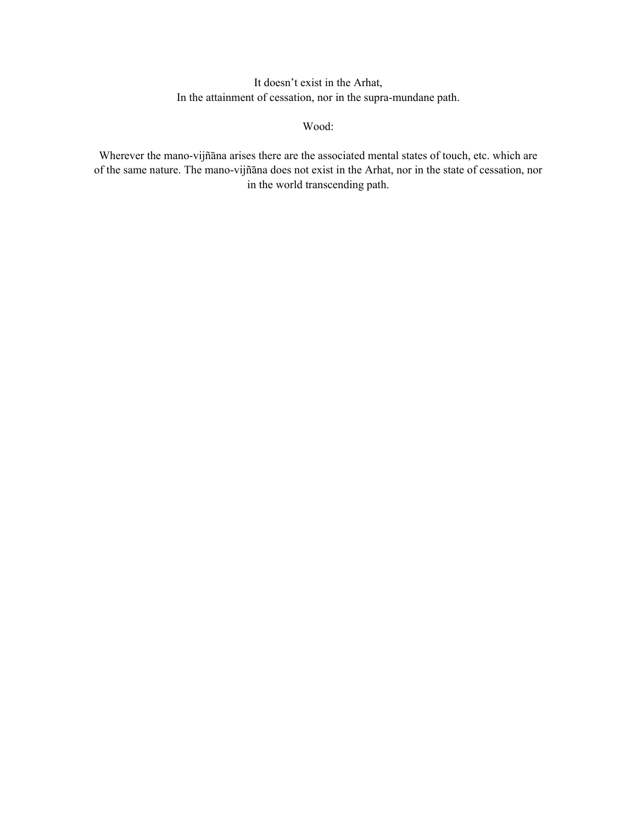It doesn't exist in the Arhat, In the attainment of cessation, nor in the supra-mundane path.

Wood:

Wherever the mano-vijñāna arises there are the associated mental states of touch, etc. which are of the same nature. The mano-vijñāna does not exist in the Arhat, nor in the state of cessation, nor in the world transcending path.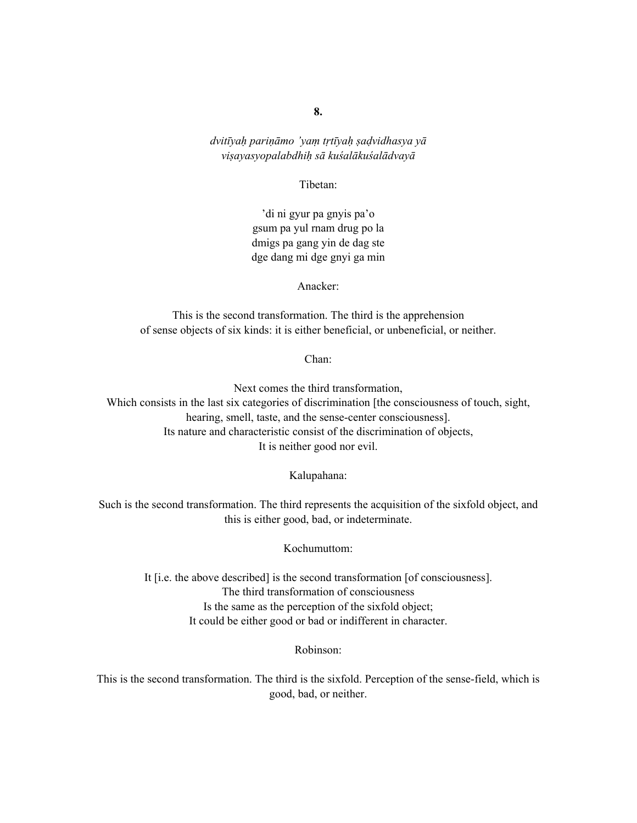*dvitīyaḥ pariṇāmo 'yaṃ tṛtīyaḥ ṣaḍvidhasya yā viṣayasyopalabdhiḥ sā kuśalākuśalādvayā*

Tibetan:

'di ni gyur pa gnyis pa'o gsum pa yul rnam drug po la dmigs pa gang yin de dag ste dge dang mi dge gnyi ga min

Anacker:

This is the second transformation. The third is the apprehension of sense objects of six kinds: it is either beneficial, or unbeneficial, or neither.

Chan:

Next comes the third transformation, Which consists in the last six categories of discrimination [the consciousness of touch, sight, hearing, smell, taste, and the sense-center consciousness]. Its nature and characteristic consist of the discrimination of objects, It is neither good nor evil.

Kalupahana:

Such is the second transformation. The third represents the acquisition of the sixfold object, and this is either good, bad, or indeterminate.

Kochumuttom:

It [i.e. the above described] is the second transformation [of consciousness]. The third transformation of consciousness Is the same as the perception of the sixfold object; It could be either good or bad or indifferent in character.

Robinson:

This is the second transformation. The third is the sixfold. Perception of the sense-field, which is good, bad, or neither.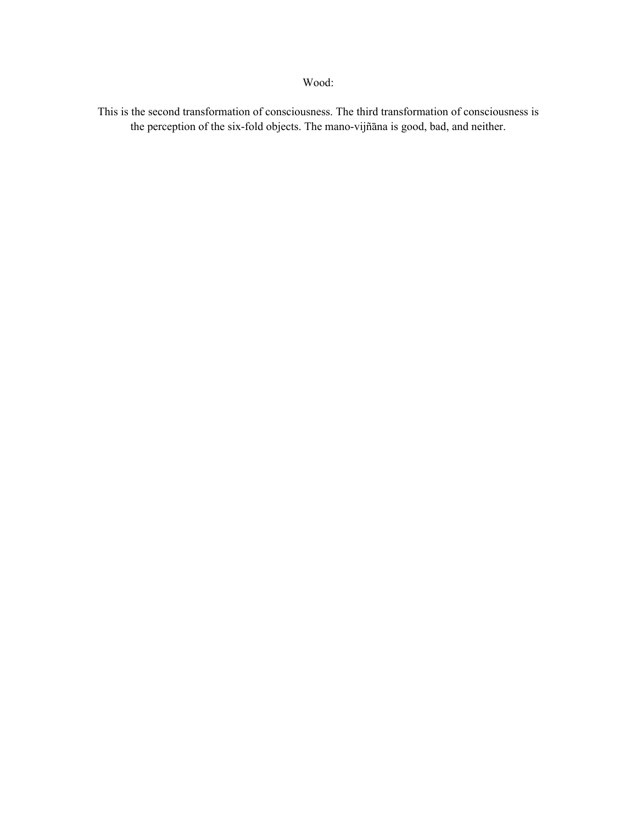This is the second transformation of consciousness. The third transformation of consciousness is the perception of the six-fold objects. The mano-vijñāna is good, bad, and neither.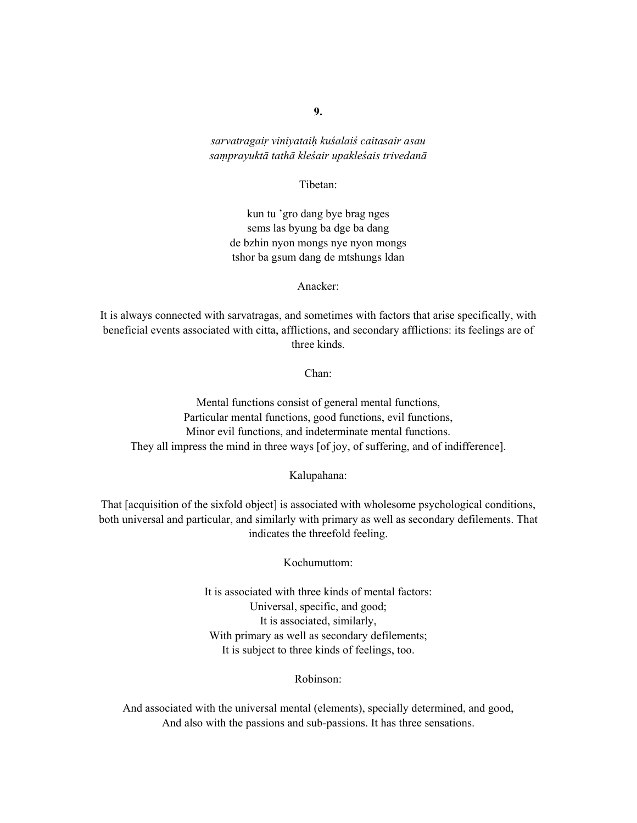*sarvatragaiṛ viniyataiḥ kuśalaiś caitasair asau saṃprayuktā tathā kleśair upakleśais trivedanā*

Tibetan:

kun tu 'gro dang bye brag nges sems las byung ba dge ba dang de bzhin nyon mongs nye nyon mongs tshor ba gsum dang de mtshungs ldan

Anacker:

It is always connected with sarvatragas, and sometimes with factors that arise specifically, with beneficial events associated with citta, afflictions, and secondary afflictions: its feelings are of three kinds.

Chan:

Mental functions consist of general mental functions, Particular mental functions, good functions, evil functions, Minor evil functions, and indeterminate mental functions. They all impress the mind in three ways [of joy, of suffering, and of indifference].

Kalupahana:

That [acquisition of the sixfold object] is associated with wholesome psychological conditions, both universal and particular, and similarly with primary as well as secondary defilements. That indicates the threefold feeling.

Kochumuttom:

It is associated with three kinds of mental factors: Universal, specific, and good; It is associated, similarly, With primary as well as secondary defilements; It is subject to three kinds of feelings, too.

Robinson:

And associated with the universal mental (elements), specially determined, and good, And also with the passions and sub-passions. It has three sensations.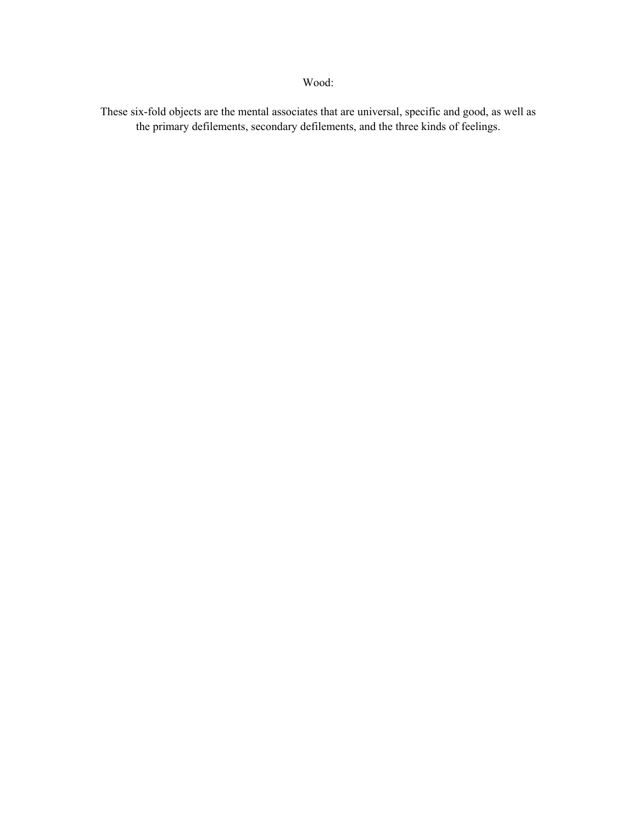These six-fold objects are the mental associates that are universal, specific and good, as well as the primary defilements, secondary defilements, and the three kinds of feelings.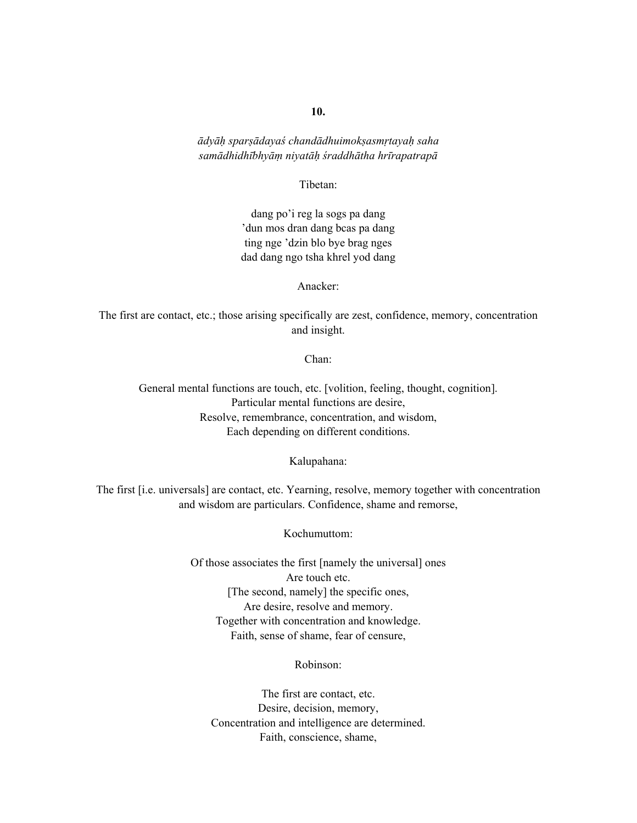*ādyāḥ sparṣādayaś chandādhuimokṣasmṛtayaḥ saha samādhidhībhyāṃ niyatāḥ śraddhātha hrīrapatrapā*

Tibetan:

dang po'i reg la sogs pa dang 'dun mos dran dang bcas pa dang ting nge 'dzin blo bye brag nges dad dang ngo tsha khrel yod dang

Anacker:

The first are contact, etc.; those arising specifically are zest, confidence, memory, concentration and insight.

Chan:

General mental functions are touch, etc. [volition, feeling, thought, cognition]. Particular mental functions are desire, Resolve, remembrance, concentration, and wisdom, Each depending on different conditions.

Kalupahana:

The first [i.e. universals] are contact, etc. Yearning, resolve, memory together with concentration and wisdom are particulars. Confidence, shame and remorse,

Kochumuttom:

Of those associates the first [namely the universal] ones Are touch etc. [The second, namely] the specific ones, Are desire, resolve and memory. Together with concentration and knowledge. Faith, sense of shame, fear of censure,

Robinson:

The first are contact, etc. Desire, decision, memory, Concentration and intelligence are determined. Faith, conscience, shame,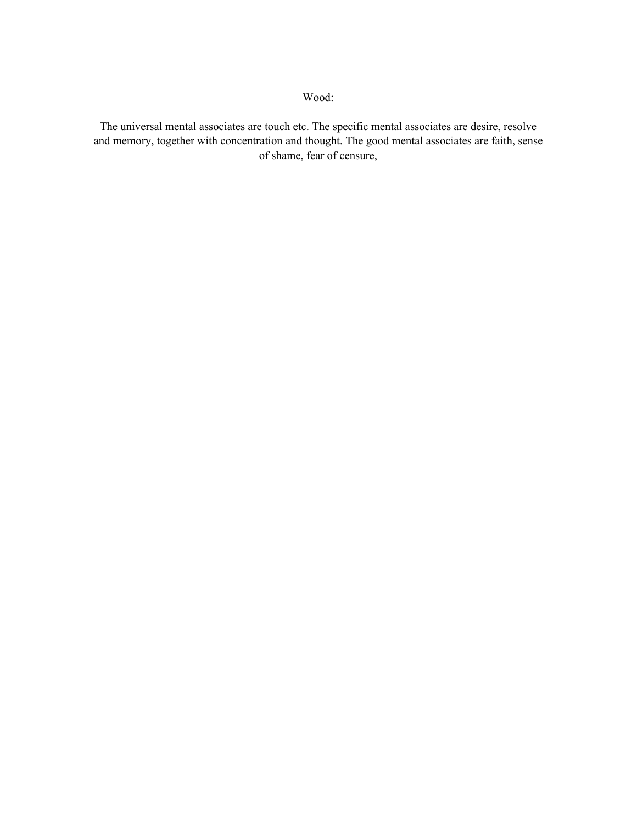The universal mental associates are touch etc. The specific mental associates are desire, resolve and memory, together with concentration and thought. The good mental associates are faith, sense of shame, fear of censure,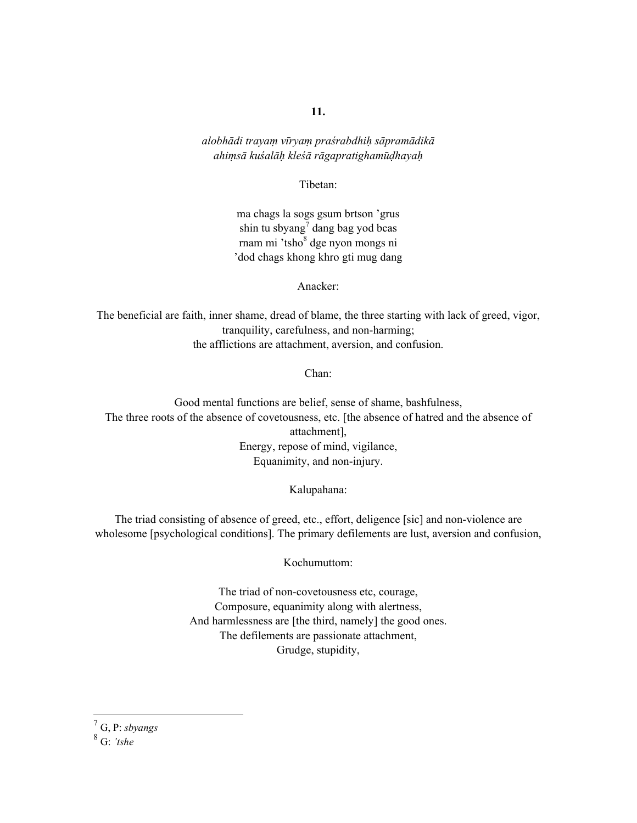*alobhādi trayaṃ vīryaṃ praśrabdhiḥ sāpramādikā ahiṃsā kuśalāḥ kleśā rāgapratighamūḍhayaḥ*

Tibetan:

ma chags la sogs gsum brtson 'grus shin tu sbyang<sup>7</sup> dang bag yod bcas rnam mi 'tsho<sup>8</sup> dge nyon mongs ni 'dod chags khong khro gti mug dang

Anacker:

The beneficial are faith, inner shame, dread of blame, the three starting with lack of greed, vigor, tranquility, carefulness, and non-harming; the afflictions are attachment, aversion, and confusion.

Chan:

Good mental functions are belief, sense of shame, bashfulness, The three roots of the absence of covetousness, etc. [the absence of hatred and the absence of attachment], Energy, repose of mind, vigilance, Equanimity, and non-injury.

Kalupahana:

The triad consisting of absence of greed, etc., effort, deligence [sic] and non-violence are wholesome [psychological conditions]. The primary defilements are lust, aversion and confusion,

Kochumuttom:

The triad of non-covetousness etc, courage, Composure, equanimity along with alertness, And harmlessness are [the third, namely] the good ones. The defilements are passionate attachment, Grudge, stupidity,

7 G, P: *sbyangs*

8 G: *'tshe*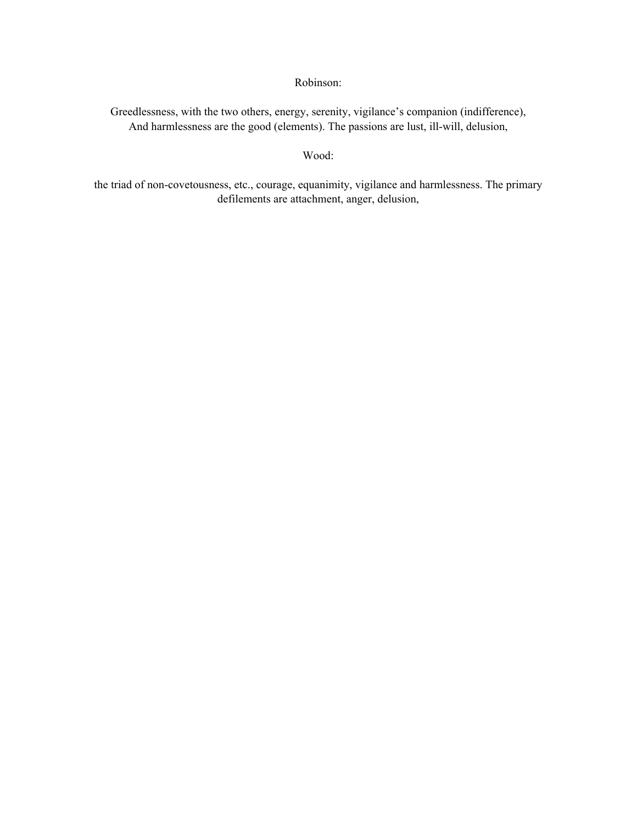### Robinson:

Greedlessness, with the two others, energy, serenity, vigilance's companion (indifference), And harmlessness are the good (elements). The passions are lust, ill-will, delusion,

#### Wood:

the triad of non-covetousness, etc., courage, equanimity, vigilance and harmlessness. The primary defilements are attachment, anger, delusion,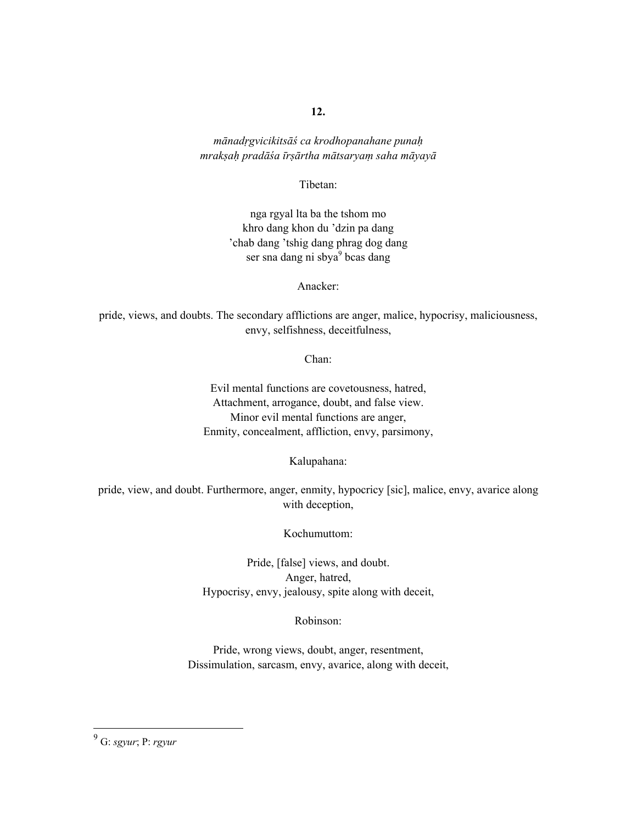*mānadṛgvicikitsāś ca krodhopanahane punaḥ mrakṣaḥ pradāśa īrṣārtha mātsaryaṃ saha māyayā* 

Tibetan:

nga rgyal lta ba the tshom mo khro dang khon du 'dzin pa dang 'chab dang 'tshig dang phrag dog dang ser sna dang ni sbya<sup>9</sup> bcas dang

Anacker:

pride, views, and doubts. The secondary afflictions are anger, malice, hypocrisy, maliciousness, envy, selfishness, deceitfulness,

Chan:

Evil mental functions are covetousness, hatred, Attachment, arrogance, doubt, and false view. Minor evil mental functions are anger, Enmity, concealment, affliction, envy, parsimony,

Kalupahana:

pride, view, and doubt. Furthermore, anger, enmity, hypocricy [sic], malice, envy, avarice along with deception,

Kochumuttom:

Pride, [false] views, and doubt. Anger, hatred, Hypocrisy, envy, jealousy, spite along with deceit,

Robinson:

Pride, wrong views, doubt, anger, resentment, Dissimulation, sarcasm, envy, avarice, along with deceit,

 9 G: *sgyur*; P: *rgyur*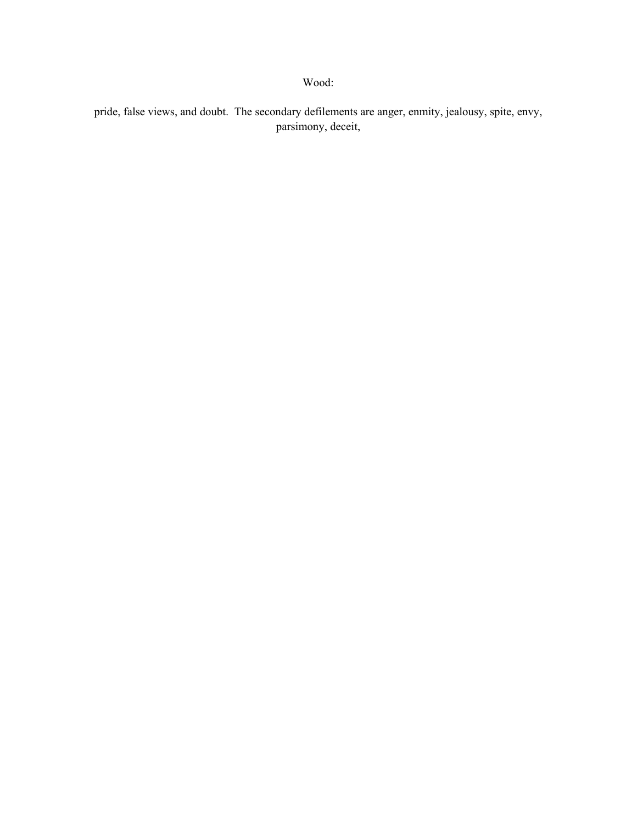pride, false views, and doubt. The secondary defilements are anger, enmity, jealousy, spite, envy, parsimony, deceit,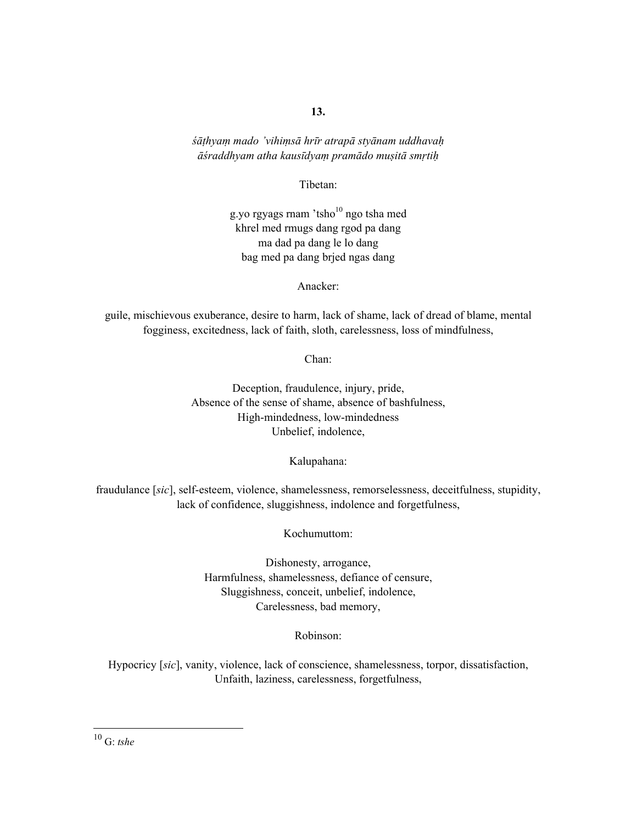*śāṭhyaṃ mado 'vihiṃsā hrīr atrapā styānam uddhavaḥ āśraddhyam atha kausīdyaṃ pramādo muṣitā smṛtiḥ*

Tibetan:

g.yo rgyags rnam 'tsho $10$  ngo tsha med khrel med rmugs dang rgod pa dang ma dad pa dang le lo dang bag med pa dang brjed ngas dang

Anacker:

guile, mischievous exuberance, desire to harm, lack of shame, lack of dread of blame, mental fogginess, excitedness, lack of faith, sloth, carelessness, loss of mindfulness,

Chan:

Deception, fraudulence, injury, pride, Absence of the sense of shame, absence of bashfulness, High-mindedness, low-mindedness Unbelief, indolence,

Kalupahana:

fraudulance [*sic*], self-esteem, violence, shamelessness, remorselessness, deceitfulness, stupidity, lack of confidence, sluggishness, indolence and forgetfulness,

Kochumuttom:

Dishonesty, arrogance, Harmfulness, shamelessness, defiance of censure, Sluggishness, conceit, unbelief, indolence, Carelessness, bad memory,

Robinson:

Hypocricy [*sic*], vanity, violence, lack of conscience, shamelessness, torpor, dissatisfaction, Unfaith, laziness, carelessness, forgetfulness,

10 G: *tshe*

 $\overline{a}$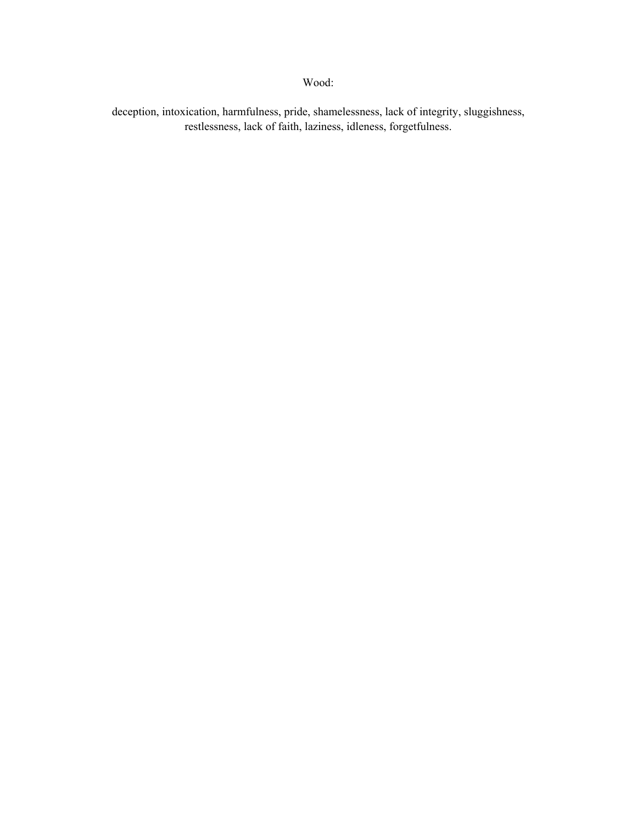deception, intoxication, harmfulness, pride, shamelessness, lack of integrity, sluggishness, restlessness, lack of faith, laziness, idleness, forgetfulness.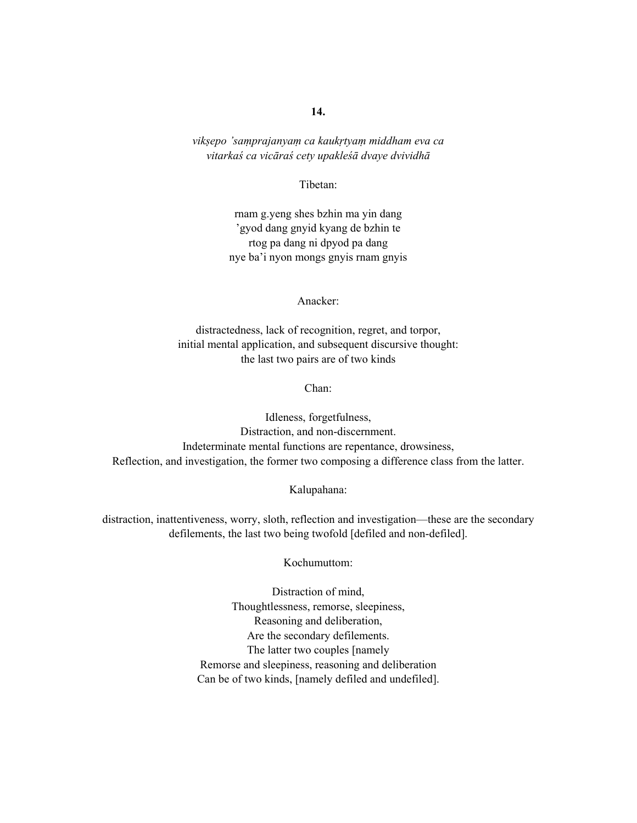*vikṣepo 'saṃprajanyaṃ ca kaukṛtyaṃ middham eva ca vitarkaś ca vicāraś cety upakleśā dvaye dvividhā*

Tibetan:

rnam g.yeng shes bzhin ma yin dang 'gyod dang gnyid kyang de bzhin te rtog pa dang ni dpyod pa dang nye ba'i nyon mongs gnyis rnam gnyis

Anacker:

distractedness, lack of recognition, regret, and torpor, initial mental application, and subsequent discursive thought: the last two pairs are of two kinds

Chan:

Idleness, forgetfulness, Distraction, and non-discernment. Indeterminate mental functions are repentance, drowsiness, Reflection, and investigation, the former two composing a difference class from the latter.

Kalupahana:

distraction, inattentiveness, worry, sloth, reflection and investigation—these are the secondary defilements, the last two being twofold [defiled and non-defiled].

Kochumuttom:

Distraction of mind, Thoughtlessness, remorse, sleepiness, Reasoning and deliberation, Are the secondary defilements. The latter two couples [namely Remorse and sleepiness, reasoning and deliberation Can be of two kinds, [namely defiled and undefiled].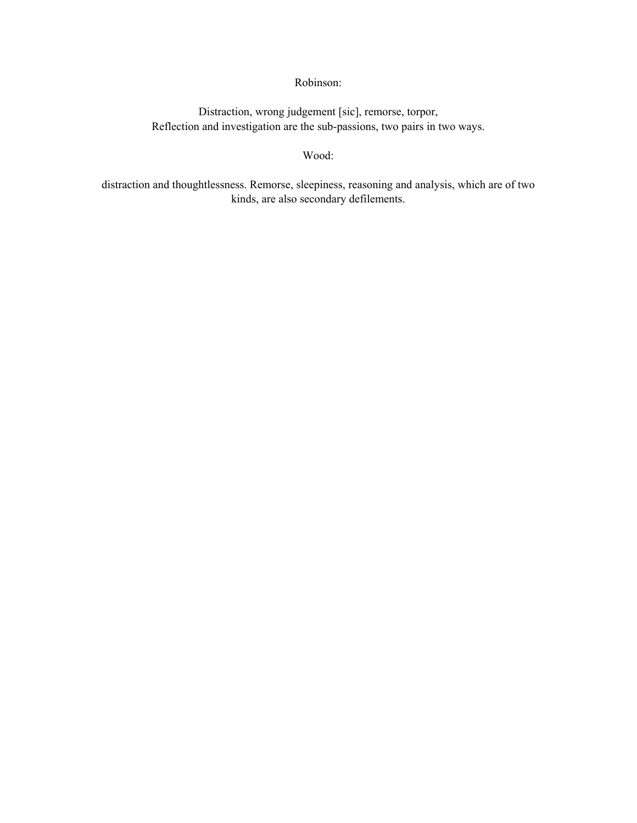# Robinson:

Distraction, wrong judgement [sic], remorse, torpor, Reflection and investigation are the sub-passions, two pairs in two ways.

### Wood:

distraction and thoughtlessness. Remorse, sleepiness, reasoning and analysis, which are of two kinds, are also secondary defilements.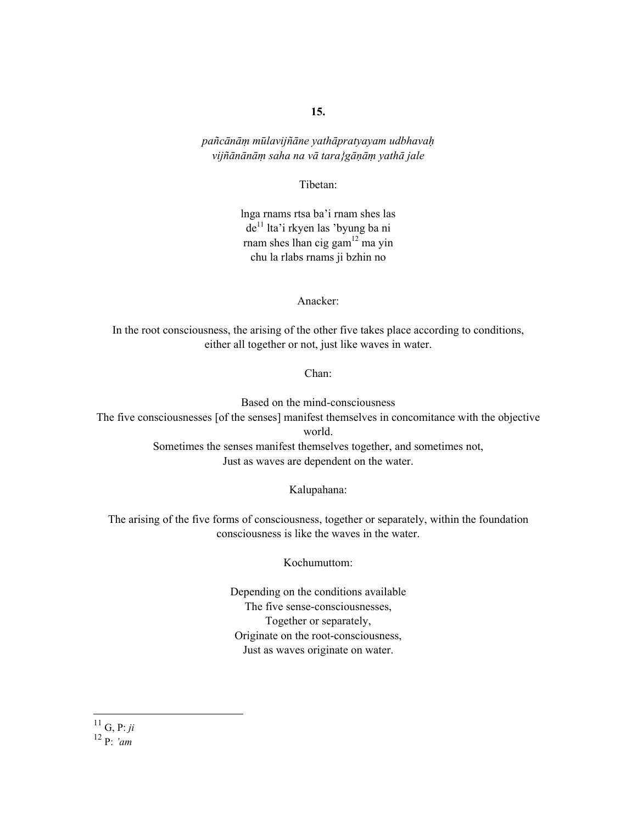*pañcānāṃ mūlavijñāne yathāpratyayam udbhavaḥ vijñānānāṃ saha na vā tara}gāṇāṃ yathā jale* 

Tibetan:

lnga rnams rtsa ba'i rnam shes las de<sup>11</sup> lta'i rkyen las 'byung ba ni rnam shes lhan cig gam $^{12}$  ma yin chu la rlabs rnams ji bzhin no

Anacker:

In the root consciousness, the arising of the other five takes place according to conditions, either all together or not, just like waves in water.

Chan:

Based on the mind-consciousness The five consciousnesses [of the senses] manifest themselves in concomitance with the objective world. Sometimes the senses manifest themselves together, and sometimes not, Just as waves are dependent on the water.

Kalupahana:

The arising of the five forms of consciousness, together or separately, within the foundation consciousness is like the waves in the water.

Kochumuttom:

Depending on the conditions available The five sense-consciousnesses, Together or separately, Originate on the root-consciousness, Just as waves originate on water.

 $\overline{a}$ 

<sup>11</sup> G, P: *ji* 12 P: *'am*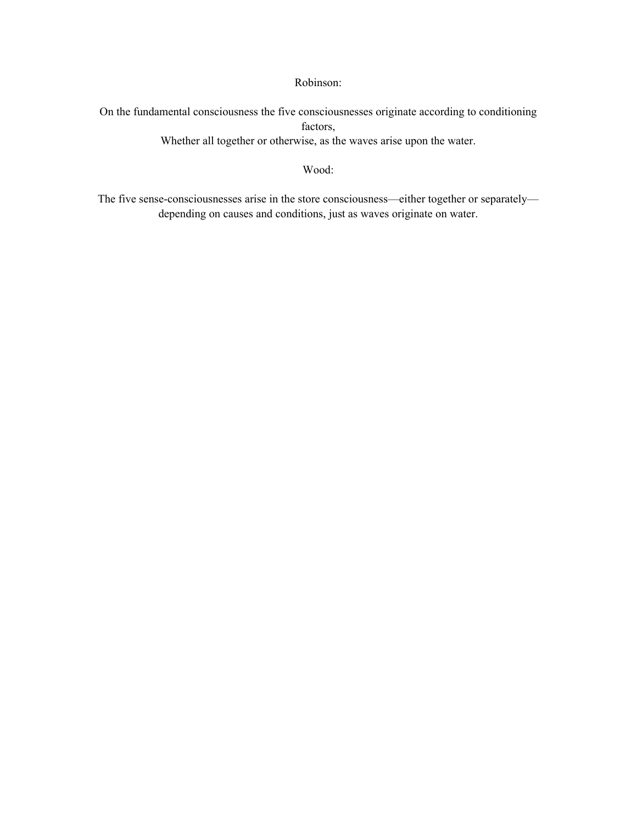Robinson:

On the fundamental consciousness the five consciousnesses originate according to conditioning factors, Whether all together or otherwise, as the waves arise upon the water.

Wood:

The five sense-consciousnesses arise in the store consciousness—either together or separately depending on causes and conditions, just as waves originate on water.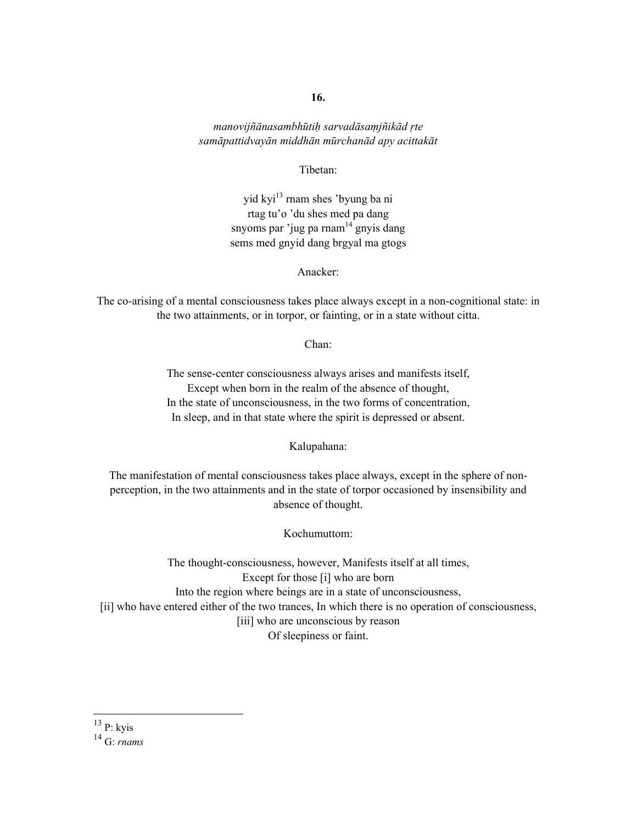*manovijñānasambhūtiḥ sarvadāsaṃjñikād ṛte samāpattidvayān middhān mūrchanād apy acittakāt* 

Tibetan:

yid kyi<sup>13</sup> rnam shes 'byung ba ni rtag tu'o 'du shes med pa dang snyoms par 'jug pa rnam $14$  gnyis dang sems med gnyid dang brgyal ma gtogs

Anacker:

The co-arising of a mental consciousness takes place always except in a non-cognitional state: in the two attainments, or in torpor, or fainting, or in a state without citta.

Chan:

The sense-center consciousness always arises and manifests itself, Except when born in the realm of the absence of thought, In the state of unconsciousness, in the two forms of concentration, In sleep, and in that state where the spirit is depressed or absent.

Kalupahana:

The manifestation of mental consciousness takes place always, except in the sphere of nonperception, in the two attainments and in the state of torpor occasioned by insensibility and absence of thought.

Kochumuttom:

The thought-consciousness, however, Manifests itself at all times, Except for those [i] who are born Into the region where beings are in a state of unconsciousness, [ii] who have entered either of the two trances, In which there is no operation of consciousness, [iii] who are unconscious by reason Of sleepiness or faint.

 $^{13}$  P: kyis

 $\overline{a}$ 

<sup>14</sup> G: *rnams*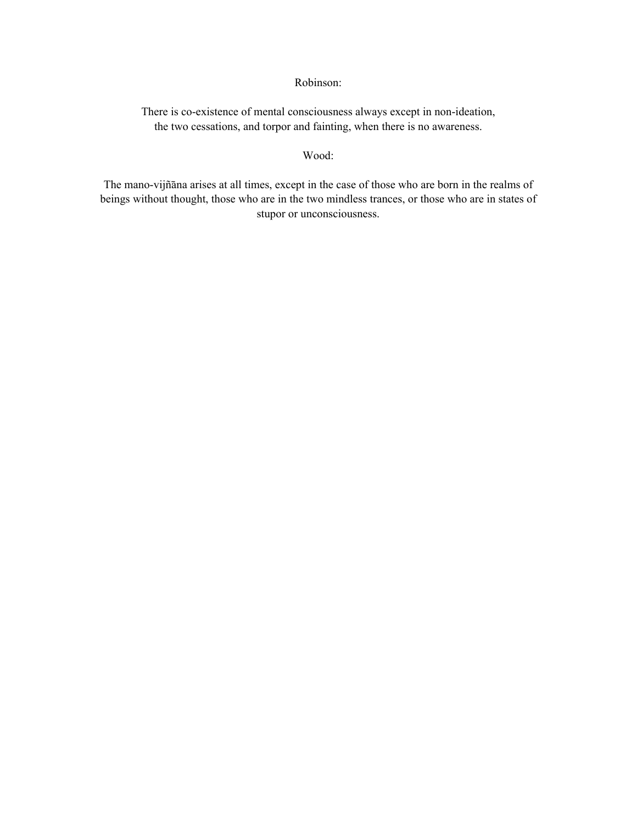### Robinson:

There is co-existence of mental consciousness always except in non-ideation, the two cessations, and torpor and fainting, when there is no awareness.

#### Wood:

The mano-vijñāna arises at all times, except in the case of those who are born in the realms of beings without thought, those who are in the two mindless trances, or those who are in states of stupor or unconsciousness.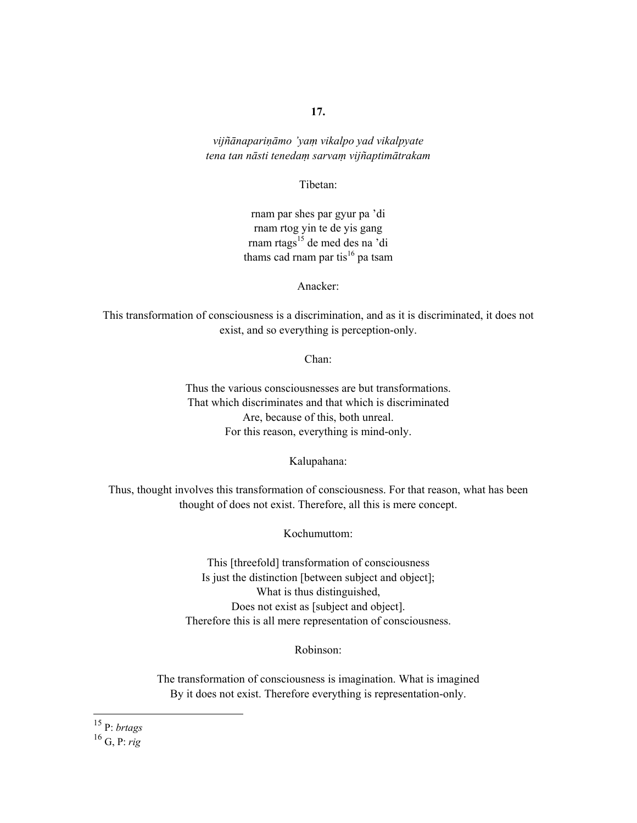*vijñānapariṇāmo 'yaṃ vikalpo yad vikalpyate tena tan nāsti tenedaṃ sarvaṃ vijñaptimātrakam* 

Tibetan:

rnam par shes par gyur pa 'di rnam rtog yin te de yis gang rnam rtags<sup>15</sup> de med des na 'di thams cad rnam par tis<sup>16</sup> pa tsam

Anacker:

This transformation of consciousness is a discrimination, and as it is discriminated, it does not exist, and so everything is perception-only.

Chan:

Thus the various consciousnesses are but transformations. That which discriminates and that which is discriminated Are, because of this, both unreal. For this reason, everything is mind-only.

Kalupahana:

Thus, thought involves this transformation of consciousness. For that reason, what has been thought of does not exist. Therefore, all this is mere concept.

Kochumuttom:

This [threefold] transformation of consciousness Is just the distinction [between subject and object]; What is thus distinguished, Does not exist as [subject and object]. Therefore this is all mere representation of consciousness.

Robinson:

The transformation of consciousness is imagination. What is imagined By it does not exist. Therefore everything is representation-only.

 $\overline{a}$ 

<sup>15</sup> P: *brtags*

<sup>16</sup> G, P: *rig*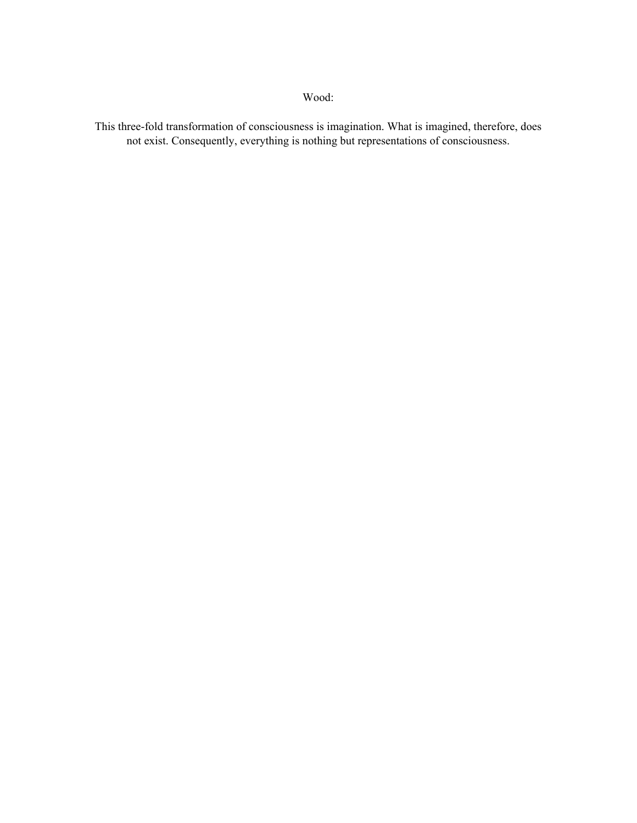This three-fold transformation of consciousness is imagination. What is imagined, therefore, does not exist. Consequently, everything is nothing but representations of consciousness.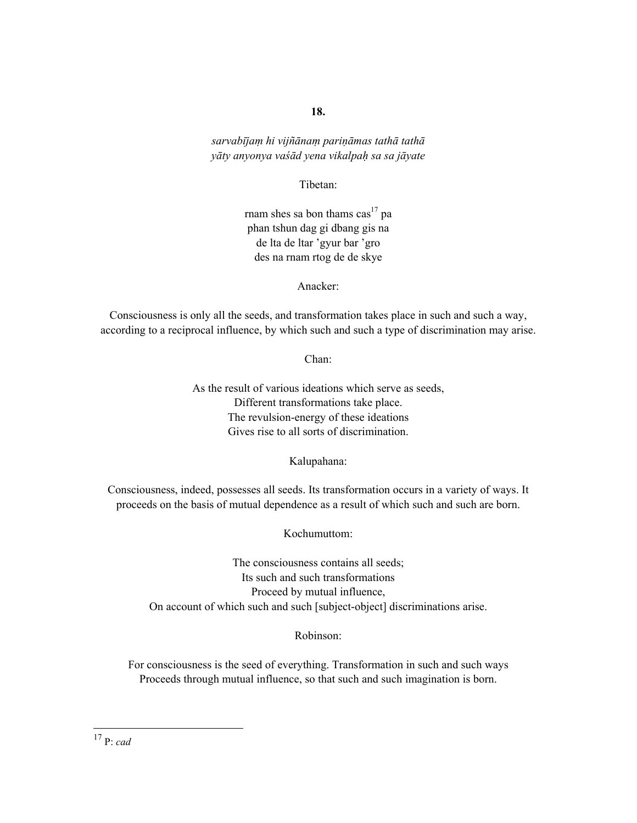*sarvabījaṃ hi vijñānaṃ pariṇāmas tathā tathā yāty anyonya vaśād yena vikalpaḥ sa sa jāyate* 

Tibetan:

rnam shes sa bon thams  $\cos^{17}$  pa phan tshun dag gi dbang gis na de lta de ltar 'gyur bar 'gro des na rnam rtog de de skye

Anacker:

Consciousness is only all the seeds, and transformation takes place in such and such a way, according to a reciprocal influence, by which such and such a type of discrimination may arise.

Chan:

As the result of various ideations which serve as seeds, Different transformations take place. The revulsion-energy of these ideations Gives rise to all sorts of discrimination.

Kalupahana:

Consciousness, indeed, possesses all seeds. Its transformation occurs in a variety of ways. It proceeds on the basis of mutual dependence as a result of which such and such are born.

Kochumuttom:

The consciousness contains all seeds; Its such and such transformations Proceed by mutual influence, On account of which such and such [subject-object] discriminations arise.

Robinson:

For consciousness is the seed of everything. Transformation in such and such ways Proceeds through mutual influence, so that such and such imagination is born.

 $\overline{a}$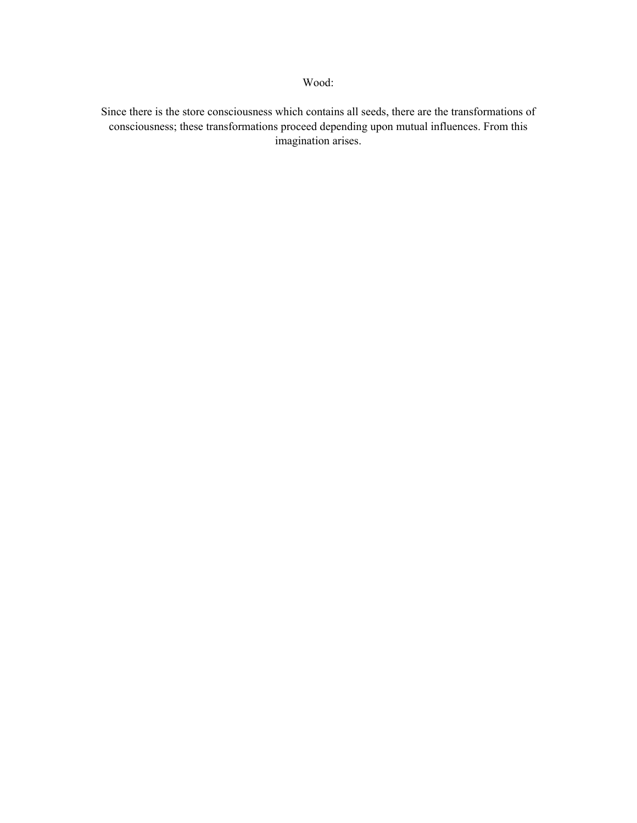Since there is the store consciousness which contains all seeds, there are the transformations of consciousness; these transformations proceed depending upon mutual influences. From this imagination arises.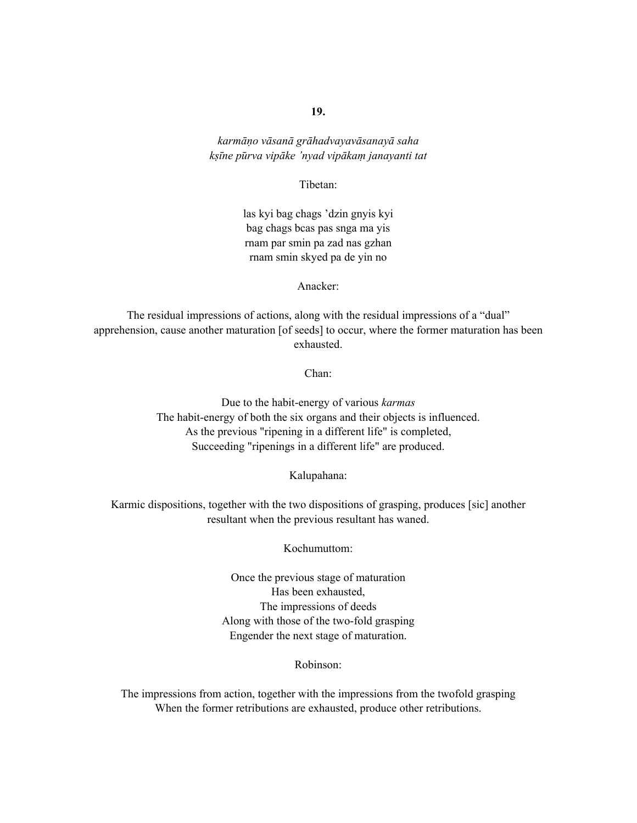*karmāṇo vāsanā grāhadvayavāsanayā saha kṣīne pūrva vipāke 'nyad vipākaṃ janayanti tat* 

Tibetan:

las kyi bag chags 'dzin gnyis kyi bag chags bcas pas snga ma yis rnam par smin pa zad nas gzhan rnam smin skyed pa de yin no

Anacker:

The residual impressions of actions, along with the residual impressions of a "dual" apprehension, cause another maturation [of seeds] to occur, where the former maturation has been exhausted.

Chan:

Due to the habit-energy of various *karmas* The habit-energy of both the six organs and their objects is influenced. As the previous "ripening in a different life" is completed, Succeeding "ripenings in a different life" are produced.

Kalupahana:

Karmic dispositions, together with the two dispositions of grasping, produces [sic] another resultant when the previous resultant has waned.

Kochumuttom:

Once the previous stage of maturation Has been exhausted, The impressions of deeds Along with those of the two-fold grasping Engender the next stage of maturation.

Robinson:

The impressions from action, together with the impressions from the twofold grasping When the former retributions are exhausted, produce other retributions.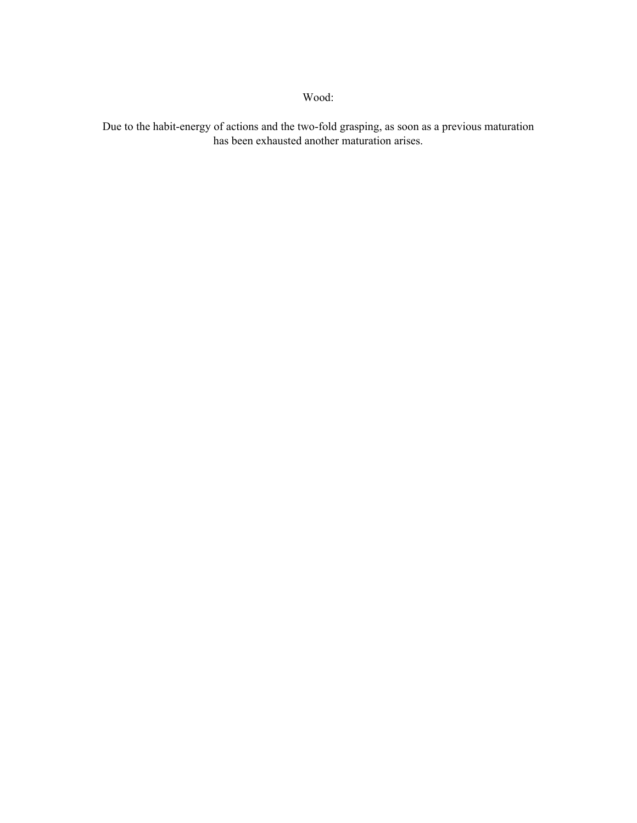Due to the habit-energy of actions and the two-fold grasping, as soon as a previous maturation has been exhausted another maturation arises.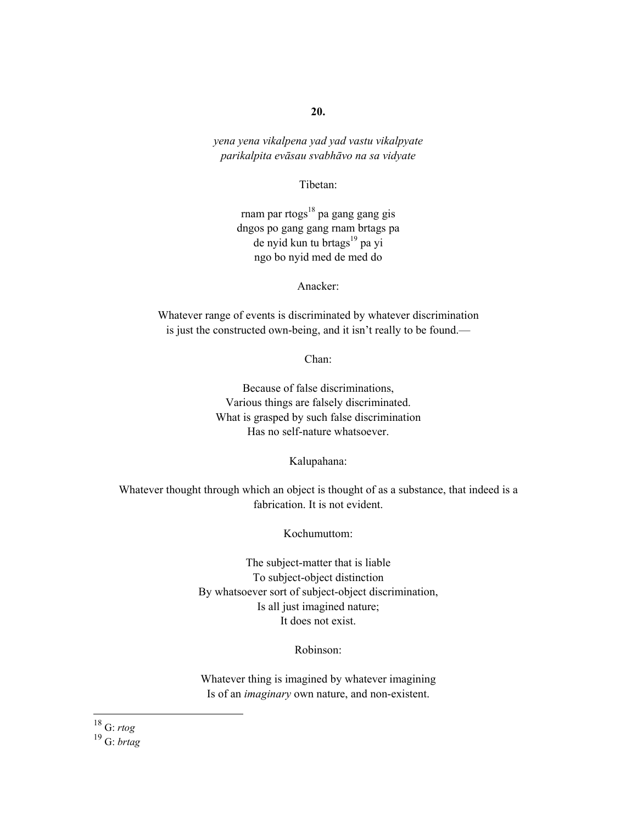*yena yena vikalpena yad yad vastu vikalpyate parikalpita evāsau svabhāvo na sa vidyate* 

Tibetan:

rnam par rtogs $^{18}$  pa gang gang gis dngos po gang gang rnam brtags pa de nyid kun tu brtags<sup>19</sup> pa yi ngo bo nyid med de med do

Anacker:

Whatever range of events is discriminated by whatever discrimination is just the constructed own-being, and it isn't really to be found.—

Chan:

Because of false discriminations, Various things are falsely discriminated. What is grasped by such false discrimination Has no self-nature whatsoever.

Kalupahana:

Whatever thought through which an object is thought of as a substance, that indeed is a fabrication. It is not evident.

Kochumuttom:

The subject-matter that is liable To subject-object distinction By whatsoever sort of subject-object discrimination, Is all just imagined nature; It does not exist.

Robinson:

Whatever thing is imagined by whatever imagining Is of an *imaginary* own nature, and non-existent.

 $\overline{a}$ 

<sup>18</sup> G: *rtog*

<sup>19</sup> G: *brtag*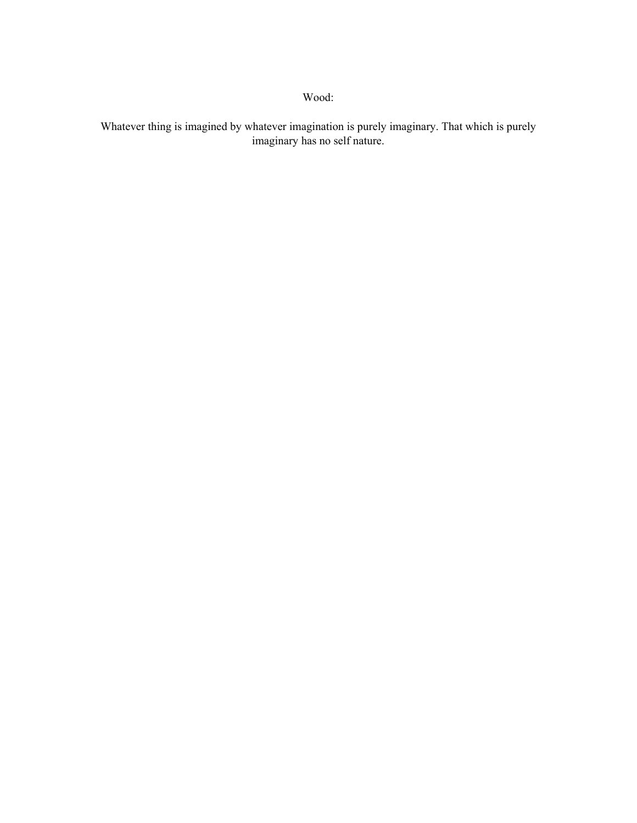Whatever thing is imagined by whatever imagination is purely imaginary. That which is purely imaginary has no self nature.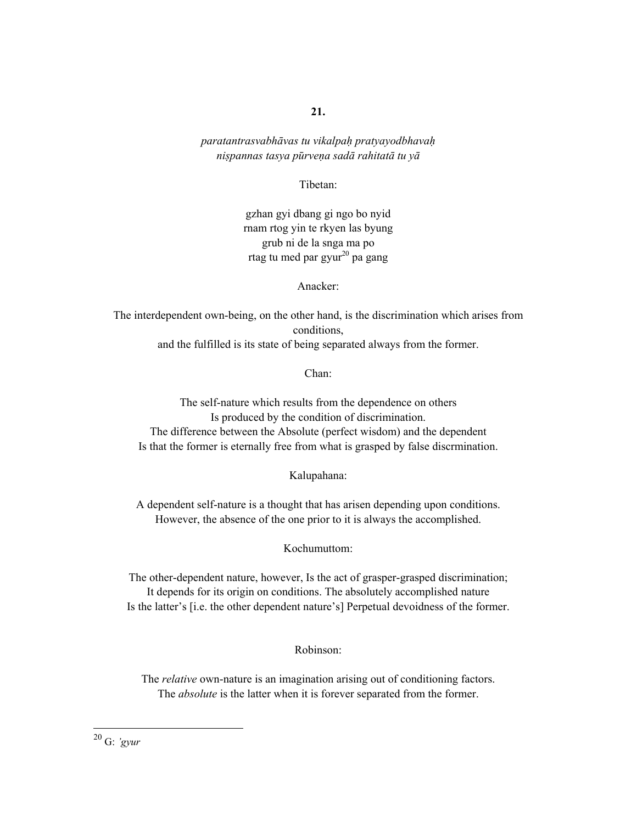*paratantrasvabhāvas tu vikalpaḥ pratyayodbhavaḥ niṣpannas tasya pūrveṇa sadā rahitatā tu yā*

Tibetan:

gzhan gyi dbang gi ngo bo nyid rnam rtog yin te rkyen las byung grub ni de la snga ma po rtag tu med par gyur $^{20}$  pa gang

Anacker:

The interdependent own-being, on the other hand, is the discrimination which arises from conditions, and the fulfilled is its state of being separated always from the former.

Chan:

The self-nature which results from the dependence on others Is produced by the condition of discrimination. The difference between the Absolute (perfect wisdom) and the dependent Is that the former is eternally free from what is grasped by false discrmination.

Kalupahana:

A dependent self-nature is a thought that has arisen depending upon conditions. However, the absence of the one prior to it is always the accomplished.

Kochumuttom:

The other-dependent nature, however, Is the act of grasper-grasped discrimination; It depends for its origin on conditions. The absolutely accomplished nature Is the latter's [i.e. the other dependent nature's] Perpetual devoidness of the former.

Robinson:

The *relative* own-nature is an imagination arising out of conditioning factors. The *absolute* is the latter when it is forever separated from the former.

20 G: *'gyur*

 $\overline{a}$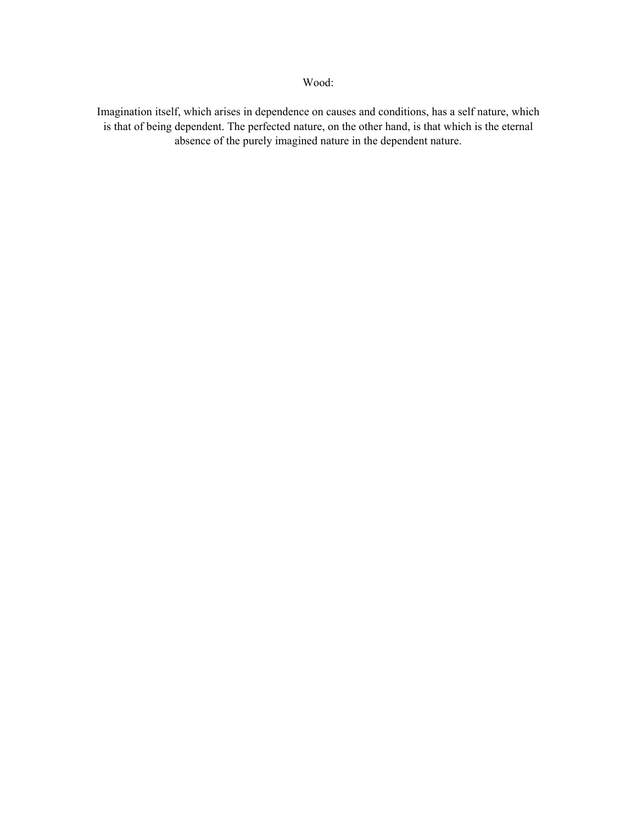Imagination itself, which arises in dependence on causes and conditions, has a self nature, which is that of being dependent. The perfected nature, on the other hand, is that which is the eternal absence of the purely imagined nature in the dependent nature.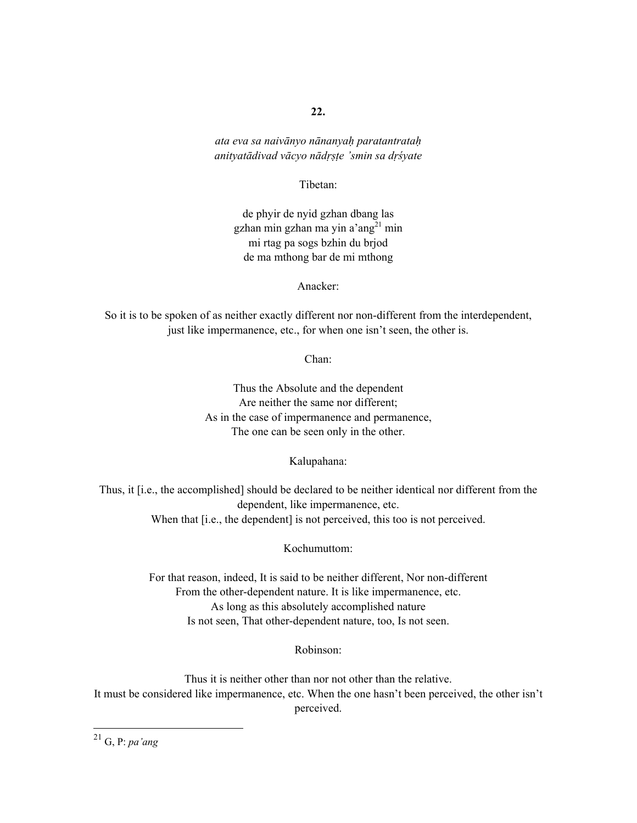*ata eva sa naivānyo nānanyaḥ paratantrataḥ anityatādivad vācyo nādṛṣṭe 'smin sa dṛśyate* 

Tibetan:

de phyir de nyid gzhan dbang las gzhan min gzhan ma yin a' $ang<sup>21</sup>$  min mi rtag pa sogs bzhin du brjod de ma mthong bar de mi mthong

Anacker:

So it is to be spoken of as neither exactly different nor non-different from the interdependent, just like impermanence, etc., for when one isn't seen, the other is.

Chan:

Thus the Absolute and the dependent Are neither the same nor different; As in the case of impermanence and permanence, The one can be seen only in the other.

Kalupahana:

Thus, it [i.e., the accomplished] should be declared to be neither identical nor different from the dependent, like impermanence, etc. When that [i.e., the dependent] is not perceived, this too is not perceived.

Kochumuttom:

For that reason, indeed, It is said to be neither different, Nor non-different From the other-dependent nature. It is like impermanence, etc. As long as this absolutely accomplished nature Is not seen, That other-dependent nature, too, Is not seen.

Robinson:

Thus it is neither other than nor not other than the relative. It must be considered like impermanence, etc. When the one hasn't been perceived, the other isn't perceived.

21 G, P: *pa'ang*

 $\overline{a}$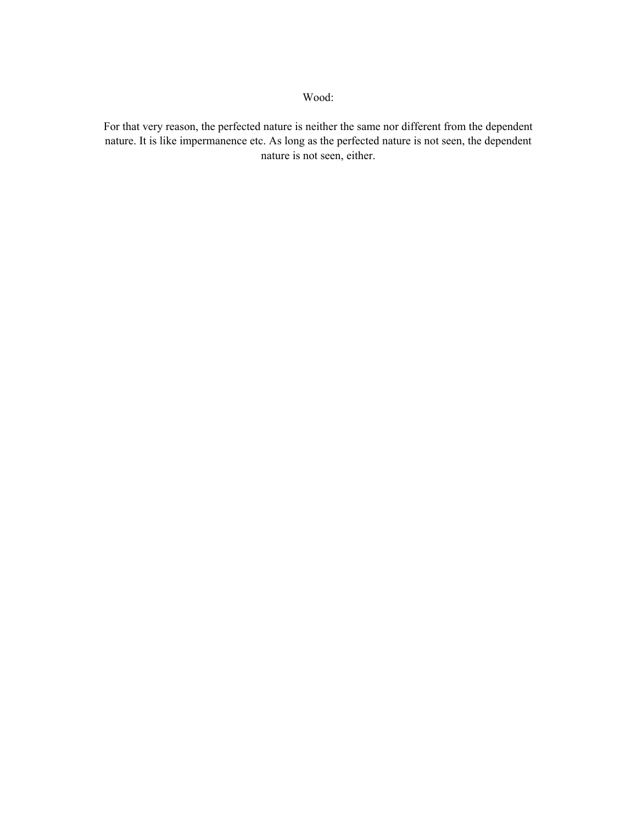For that very reason, the perfected nature is neither the same nor different from the dependent nature. It is like impermanence etc. As long as the perfected nature is not seen, the dependent nature is not seen, either.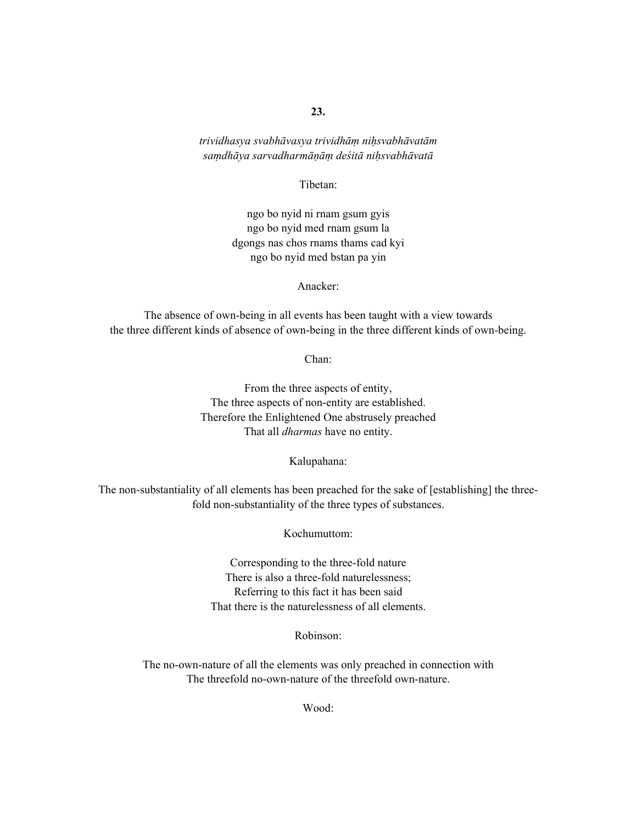*trividhasya svabhāvasya trividhāṃ niḥsvabhāvatām saṃdhāya sarvadharmāṇāṃ deśitā niḥsvabhāvatā*

Tibetan:

ngo bo nyid ni rnam gsum gyis ngo bo nyid med rnam gsum la dgongs nas chos rnams thams cad kyi ngo bo nyid med bstan pa yin

Anacker:

The absence of own-being in all events has been taught with a view towards the three different kinds of absence of own-being in the three different kinds of own-being.

Chan:

From the three aspects of entity, The three aspects of non-entity are established. Therefore the Enlightened One abstrusely preached That all *dharmas* have no entity.

Kalupahana:

The non-substantiality of all elements has been preached for the sake of [establishing] the threefold non-substantiality of the three types of substances.

Kochumuttom:

Corresponding to the three-fold nature There is also a three-fold naturelessness; Referring to this fact it has been said That there is the naturelessness of all elements.

Robinson:

The no-own-nature of all the elements was only preached in connection with The threefold no-own-nature of the threefold own-nature.

Wood: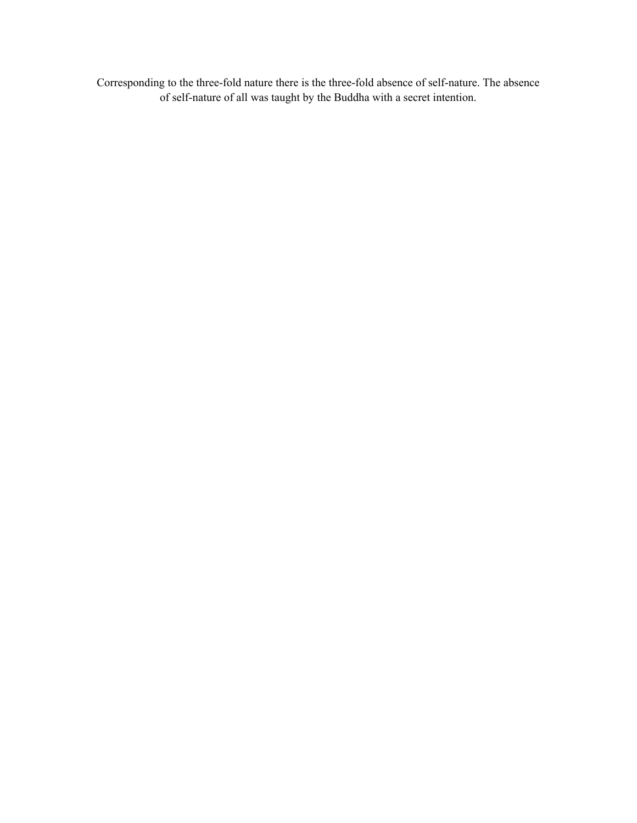Corresponding to the three-fold nature there is the three-fold absence of self-nature. The absence of self-nature of all was taught by the Buddha with a secret intention.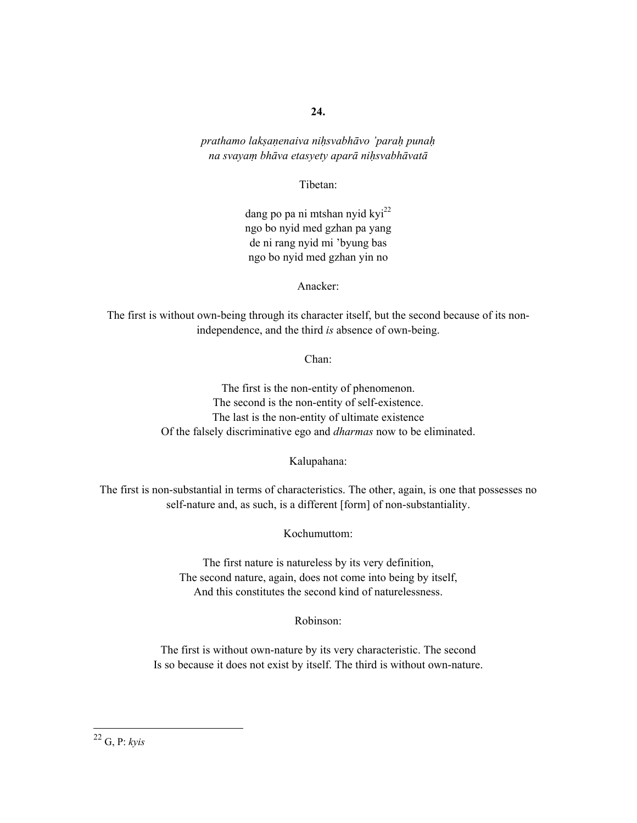*prathamo lakṣaṇenaiva niḥsvabhāvo 'paraḥ punaḥ na svayaṃ bhāva etasyety aparā niḥsvabhāvatā*

Tibetan:

dang po pa ni mtshan nyid kyi $^{22}$ ngo bo nyid med gzhan pa yang de ni rang nyid mi 'byung bas ngo bo nyid med gzhan yin no

Anacker:

The first is without own-being through its character itself, but the second because of its nonindependence, and the third *is* absence of own-being.

Chan:

The first is the non-entity of phenomenon. The second is the non-entity of self-existence. The last is the non-entity of ultimate existence Of the falsely discriminative ego and *dharmas* now to be eliminated.

Kalupahana:

The first is non-substantial in terms of characteristics. The other, again, is one that possesses no self-nature and, as such, is a different [form] of non-substantiality.

Kochumuttom:

The first nature is natureless by its very definition, The second nature, again, does not come into being by itself, And this constitutes the second kind of naturelessness.

Robinson:

The first is without own-nature by its very characteristic. The second Is so because it does not exist by itself. The third is without own-nature.

22 G, P: *kyis*

 $\overline{a}$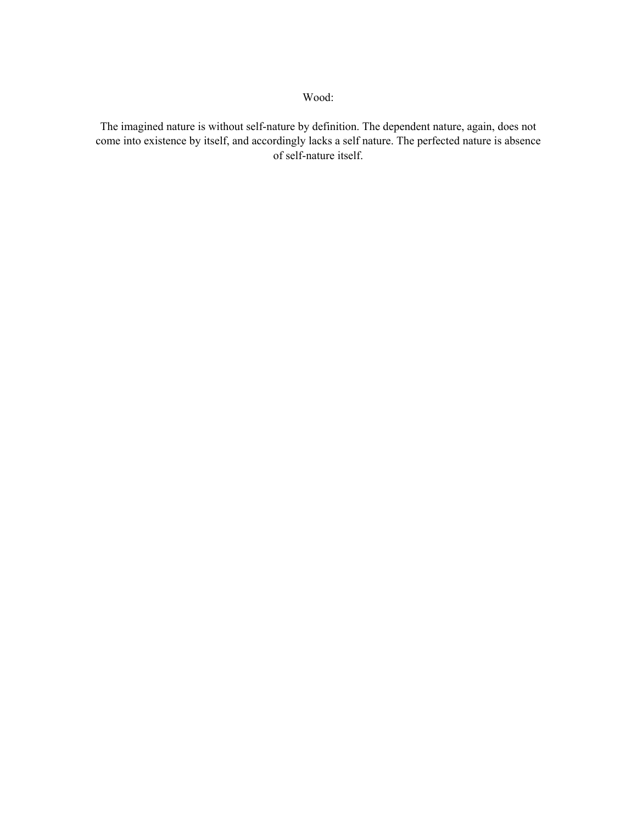The imagined nature is without self-nature by definition. The dependent nature, again, does not come into existence by itself, and accordingly lacks a self nature. The perfected nature is absence of self-nature itself.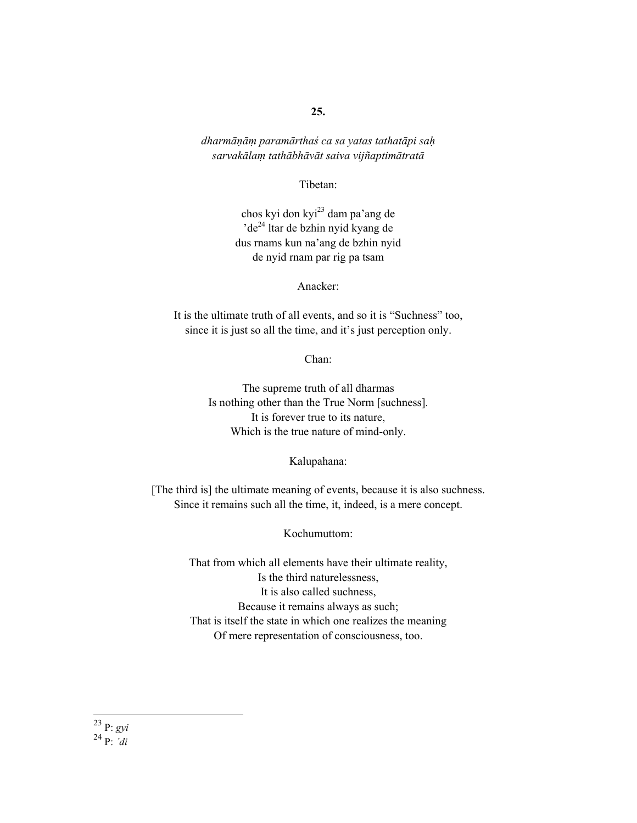*dharmāṇāṃ paramārthaś ca sa yatas tathatāpi saḥ sarvakālaṃ tathābhāvāt saiva vijñaptimātratā*

Tibetan:

chos kyi don kyi23 dam pa'ang de 'de<sup>24</sup> ltar de bzhin nyid kyang de dus rnams kun na'ang de bzhin nyid de nyid rnam par rig pa tsam

Anacker:

It is the ultimate truth of all events, and so it is "Suchness" too, since it is just so all the time, and it's just perception only.

Chan:

The supreme truth of all dharmas Is nothing other than the True Norm [suchness]. It is forever true to its nature, Which is the true nature of mind-only.

Kalupahana:

[The third is] the ultimate meaning of events, because it is also suchness. Since it remains such all the time, it, indeed, is a mere concept.

Kochumuttom:

That from which all elements have their ultimate reality, Is the third naturelessness, It is also called suchness, Because it remains always as such; That is itself the state in which one realizes the meaning Of mere representation of consciousness, too.

 $\overline{a}$ 23 P: *gyi*

24 P: *'di*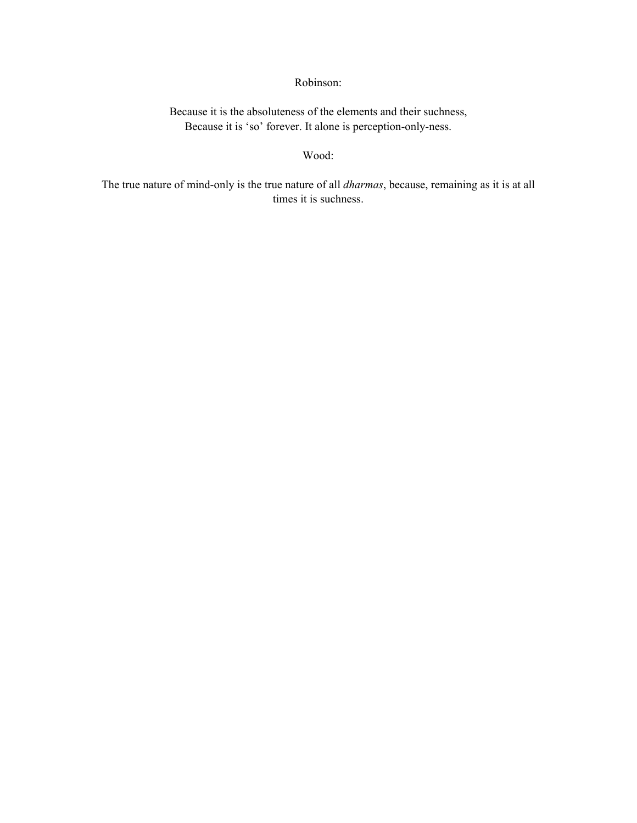## Robinson:

Because it is the absoluteness of the elements and their suchness, Because it is 'so' forever. It alone is perception-only-ness.

#### Wood:

The true nature of mind-only is the true nature of all *dharmas*, because, remaining as it is at all times it is suchness.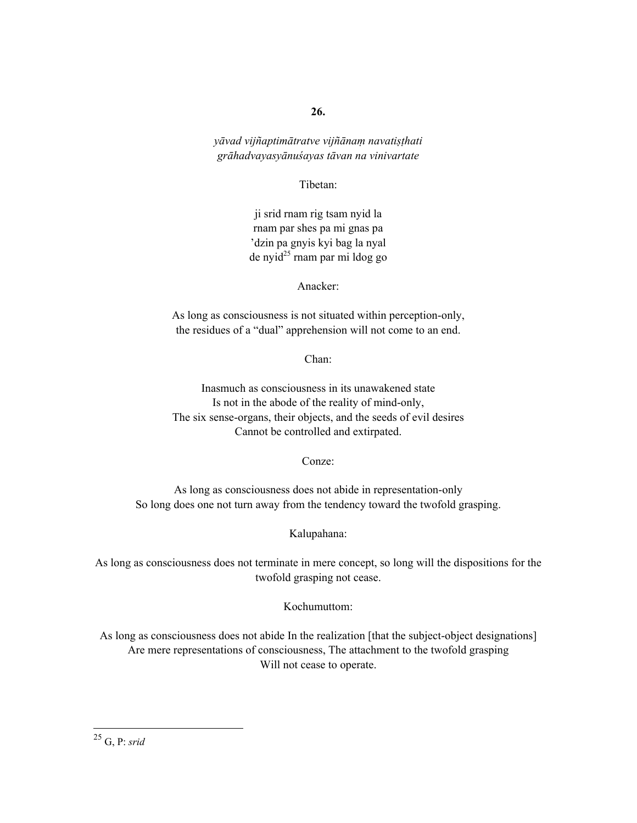*yāvad vijñaptimātratve vijñānaṃ navatiṣṭhati grāhadvayasyānuśayas tāvan na vinivartate* 

Tibetan:

ji srid rnam rig tsam nyid la rnam par shes pa mi gnas pa 'dzin pa gnyis kyi bag la nyal  $de$  nyid<sup>25</sup> rnam par mi ldog go

Anacker:

As long as consciousness is not situated within perception-only, the residues of a "dual" apprehension will not come to an end.

Chan:

Inasmuch as consciousness in its unawakened state Is not in the abode of the reality of mind-only, The six sense-organs, their objects, and the seeds of evil desires Cannot be controlled and extirpated.

Conze:

As long as consciousness does not abide in representation-only So long does one not turn away from the tendency toward the twofold grasping.

Kalupahana:

As long as consciousness does not terminate in mere concept, so long will the dispositions for the twofold grasping not cease.

Kochumuttom:

As long as consciousness does not abide In the realization [that the subject-object designations] Are mere representations of consciousness, The attachment to the twofold grasping Will not cease to operate.

 $\overline{a}$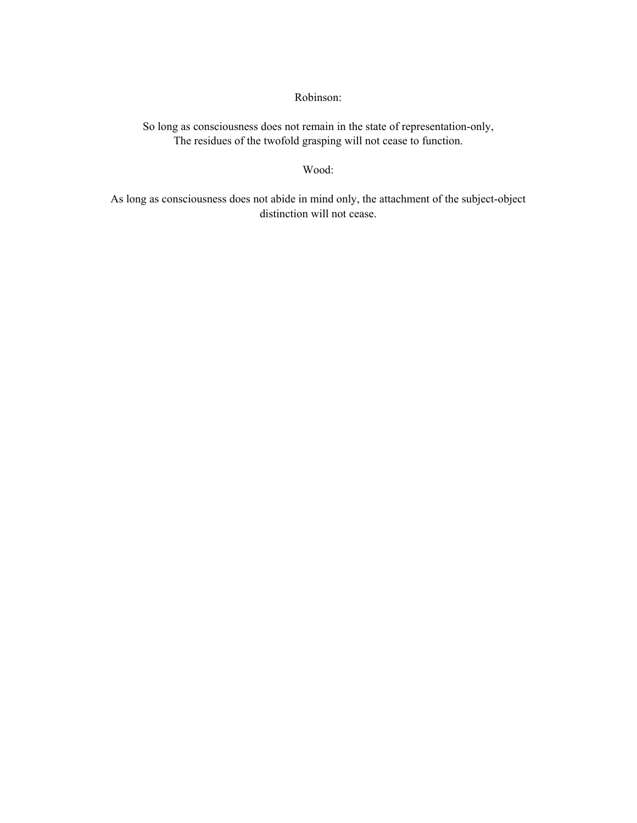Robinson:

So long as consciousness does not remain in the state of representation-only, The residues of the twofold grasping will not cease to function.

Wood:

As long as consciousness does not abide in mind only, the attachment of the subject-object distinction will not cease.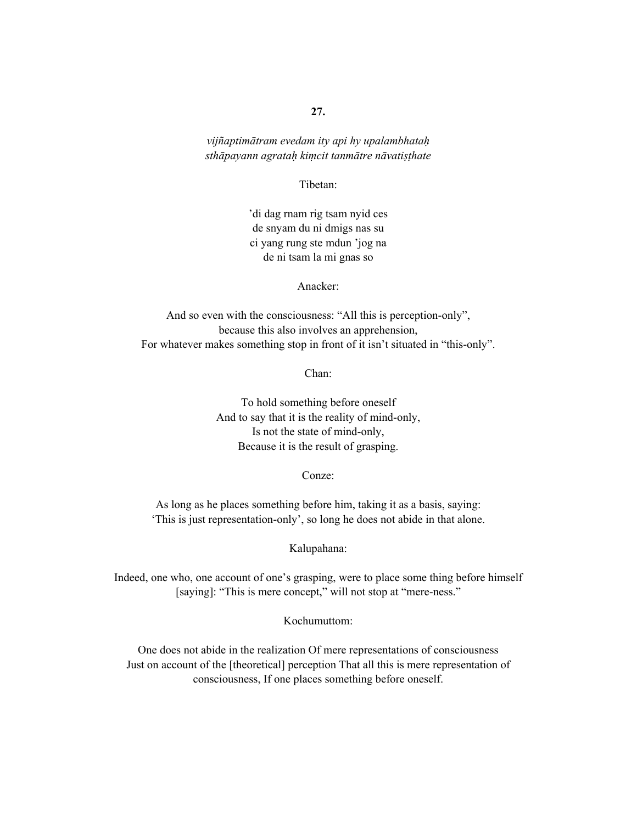*vijñaptimātram evedam ity api hy upalambhataḥ sthāpayann agrataḥ kiṃcit tanmātre nāvatiṣṭhate* 

Tibetan:

'di dag rnam rig tsam nyid ces de snyam du ni dmigs nas su ci yang rung ste mdun 'jog na de ni tsam la mi gnas so

Anacker:

And so even with the consciousness: "All this is perception-only", because this also involves an apprehension, For whatever makes something stop in front of it isn't situated in "this-only".

Chan:

To hold something before oneself And to say that it is the reality of mind-only, Is not the state of mind-only, Because it is the result of grasping.

Conze:

As long as he places something before him, taking it as a basis, saying: 'This is just representation-only', so long he does not abide in that alone.

Kalupahana:

Indeed, one who, one account of one's grasping, were to place some thing before himself [saying]: "This is mere concept," will not stop at "mere-ness."

Kochumuttom:

One does not abide in the realization Of mere representations of consciousness Just on account of the [theoretical] perception That all this is mere representation of consciousness, If one places something before oneself.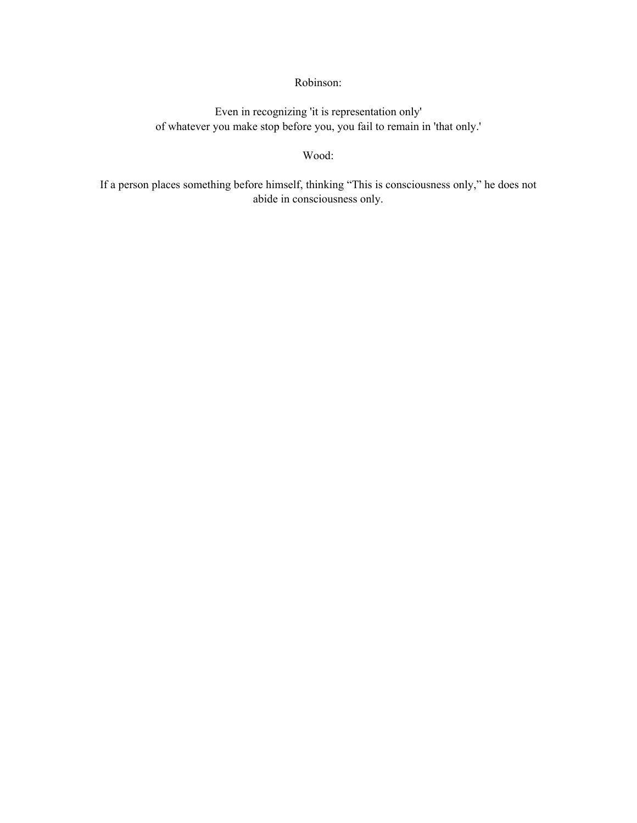# Robinson:

Even in recognizing 'it is representation only' of whatever you make stop before you, you fail to remain in 'that only.'

### Wood:

If a person places something before himself, thinking "This is consciousness only," he does not abide in consciousness only.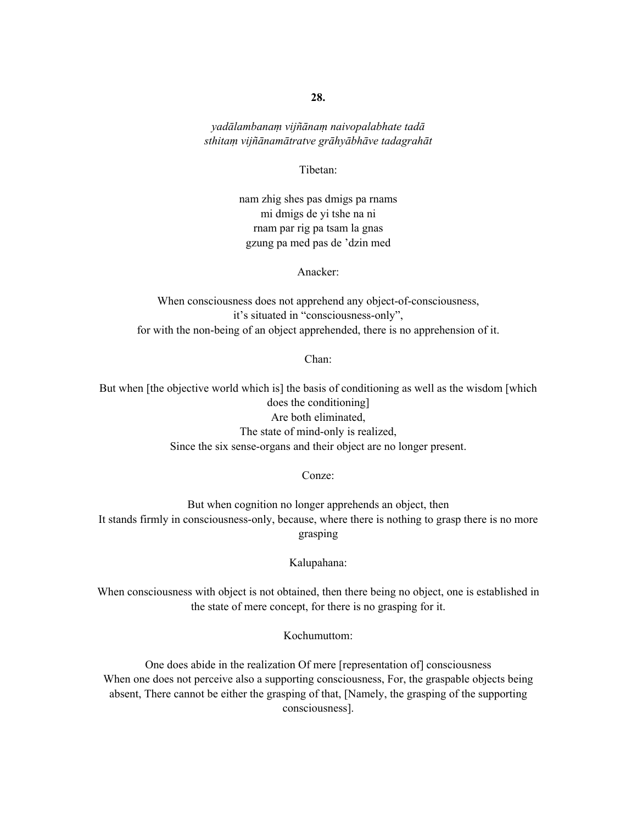*yadālambanaṃ vijñānaṃ naivopalabhate tadā sthitaṃ vijñānamātratve grāhyābhāve tadagrahāt* 

Tibetan:

nam zhig shes pas dmigs pa rnams mi dmigs de yi tshe na ni rnam par rig pa tsam la gnas gzung pa med pas de 'dzin med

Anacker:

When consciousness does not apprehend any object-of-consciousness, it's situated in "consciousness-only", for with the non-being of an object apprehended, there is no apprehension of it.

Chan:

But when [the objective world which is] the basis of conditioning as well as the wisdom [which does the conditioning] Are both eliminated, The state of mind-only is realized, Since the six sense-organs and their object are no longer present.

Conze:

But when cognition no longer apprehends an object, then It stands firmly in consciousness-only, because, where there is nothing to grasp there is no more grasping

Kalupahana:

When consciousness with object is not obtained, then there being no object, one is established in the state of mere concept, for there is no grasping for it.

Kochumuttom:

One does abide in the realization Of mere [representation of] consciousness When one does not perceive also a supporting consciousness, For, the graspable objects being absent, There cannot be either the grasping of that, [Namely, the grasping of the supporting consciousness].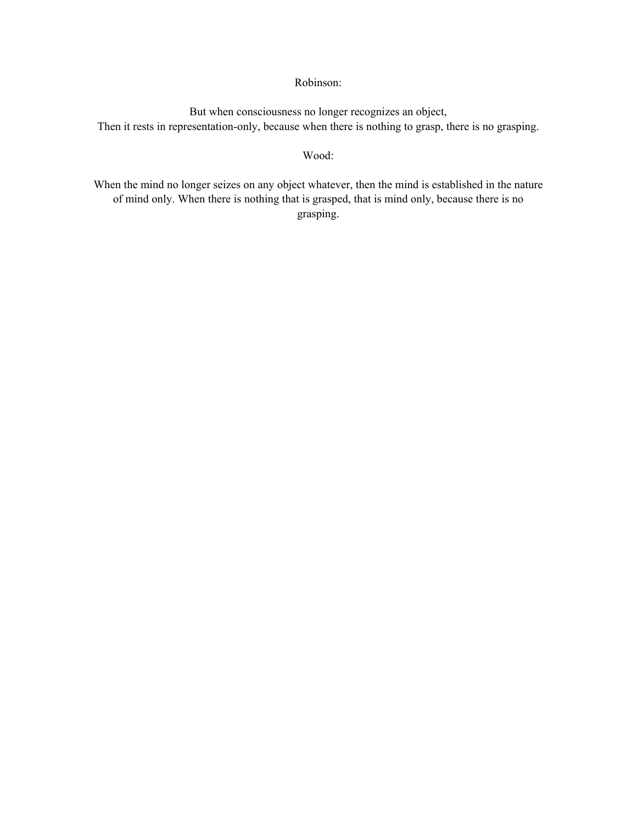### Robinson:

But when consciousness no longer recognizes an object, Then it rests in representation-only, because when there is nothing to grasp, there is no grasping.

#### Wood:

When the mind no longer seizes on any object whatever, then the mind is established in the nature of mind only. When there is nothing that is grasped, that is mind only, because there is no grasping.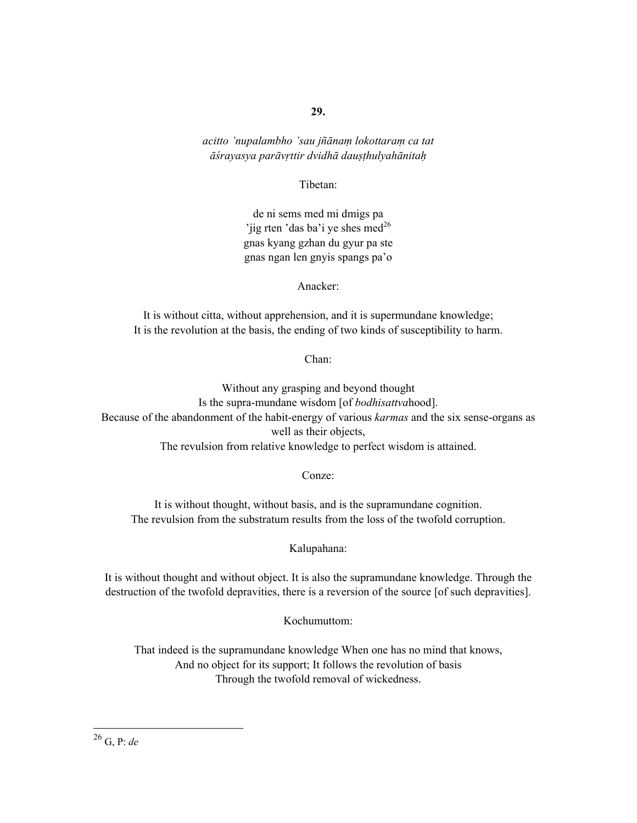*acitto 'nupalambho 'sau jñānaṃ lokottaraṃ ca tat āśrayasya parāvṛttir dvidhā dauṣṭhulyahānitaḥ*

Tibetan:

de ni sems med mi dmigs pa 'jig rten 'das ba'i ye shes med<sup>26</sup> gnas kyang gzhan du gyur pa ste gnas ngan len gnyis spangs pa'o

Anacker:

It is without citta, without apprehension, and it is supermundane knowledge; It is the revolution at the basis, the ending of two kinds of susceptibility to harm.

Chan:

Without any grasping and beyond thought Is the supra-mundane wisdom [of *bodhisattva*hood]. Because of the abandonment of the habit-energy of various *karmas* and the six sense-organs as well as their objects, The revulsion from relative knowledge to perfect wisdom is attained.

Conze:

It is without thought, without basis, and is the supramundane cognition. The revulsion from the substratum results from the loss of the twofold corruption.

Kalupahana:

It is without thought and without object. It is also the supramundane knowledge. Through the destruction of the twofold depravities, there is a reversion of the source [of such depravities].

Kochumuttom:

That indeed is the supramundane knowledge When one has no mind that knows, And no object for its support; It follows the revolution of basis Through the twofold removal of wickedness.

26 G, P: *de*

 $\overline{a}$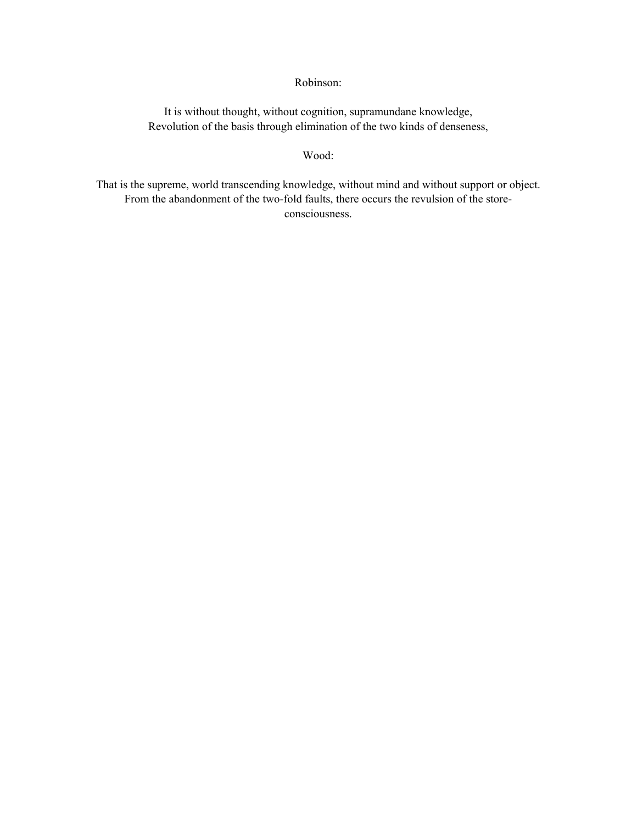### Robinson:

It is without thought, without cognition, supramundane knowledge, Revolution of the basis through elimination of the two kinds of denseness,

#### Wood:

That is the supreme, world transcending knowledge, without mind and without support or object. From the abandonment of the two-fold faults, there occurs the revulsion of the storeconsciousness.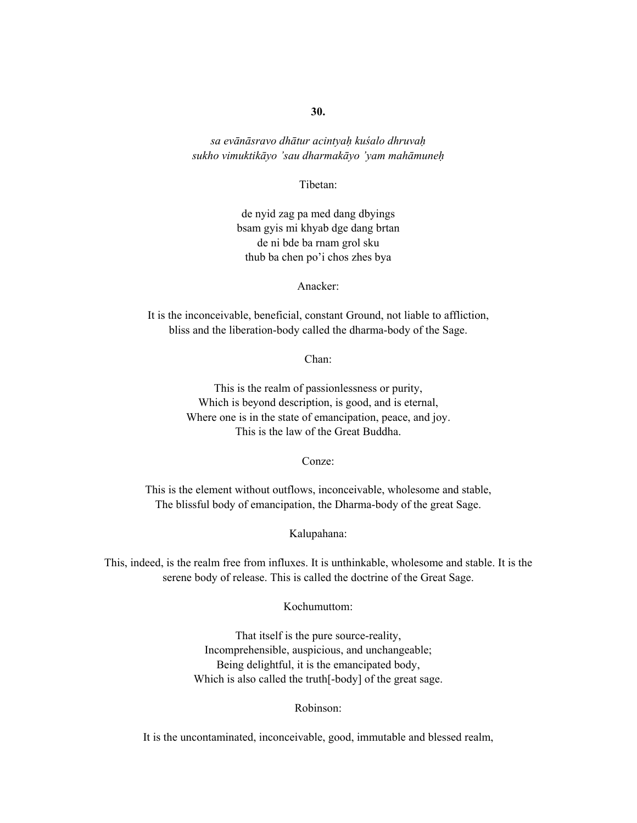*sa evānāsravo dhātur acintyaḥ kuśalo dhruvaḥ sukho vimuktikāyo 'sau dharmakāyo 'yam mahāmuneḥ*

Tibetan:

de nyid zag pa med dang dbyings bsam gyis mi khyab dge dang brtan de ni bde ba rnam grol sku thub ba chen po'i chos zhes bya

Anacker:

It is the inconceivable, beneficial, constant Ground, not liable to affliction, bliss and the liberation-body called the dharma-body of the Sage.

Chan:

This is the realm of passionlessness or purity, Which is beyond description, is good, and is eternal, Where one is in the state of emancipation, peace, and joy. This is the law of the Great Buddha.

Conze:

This is the element without outflows, inconceivable, wholesome and stable, The blissful body of emancipation, the Dharma-body of the great Sage.

Kalupahana:

This, indeed, is the realm free from influxes. It is unthinkable, wholesome and stable. It is the serene body of release. This is called the doctrine of the Great Sage.

Kochumuttom:

That itself is the pure source-reality, Incomprehensible, auspicious, and unchangeable; Being delightful, it is the emancipated body, Which is also called the truth[-body] of the great sage.

Robinson:

It is the uncontaminated, inconceivable, good, immutable and blessed realm,